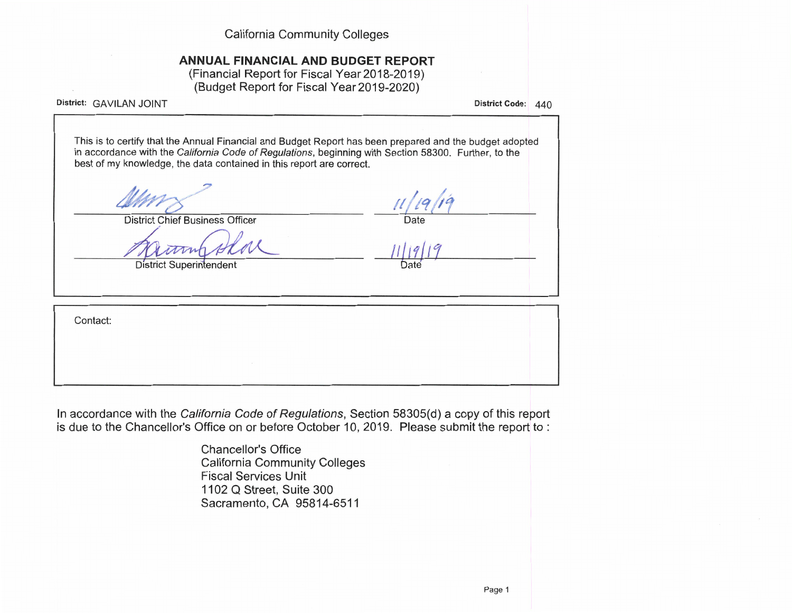**California Community Colleges** 

# ANNUAL FINANCIAL AND BUDGET REPORT

(Financial Report for Fiscal Year 2018-2019) (Budget Report for Fiscal Year 2019-2020)

District: GAVILAN JOINT

District Code: 440

This is to certify that the Annual Financial and Budget Report has been prepared and the budget adopted in accordance with the California Code of Regulations, beginning with Section 58300. Further, to the best of my knowledge, the data contained in this report are correct.

**District Chief Business Officer** 

**District Superintendent** 

 $19/19$ Date

Date

Contact:

In accordance with the California Code of Regulations, Section 58305(d) a copy of this report is due to the Chancellor's Office on or before October 10, 2019. Please submit the report to :

> **Chancellor's Office California Community Colleges Fiscal Services Unit** 1102 Q Street, Suite 300 Sacramento, CA 95814-6511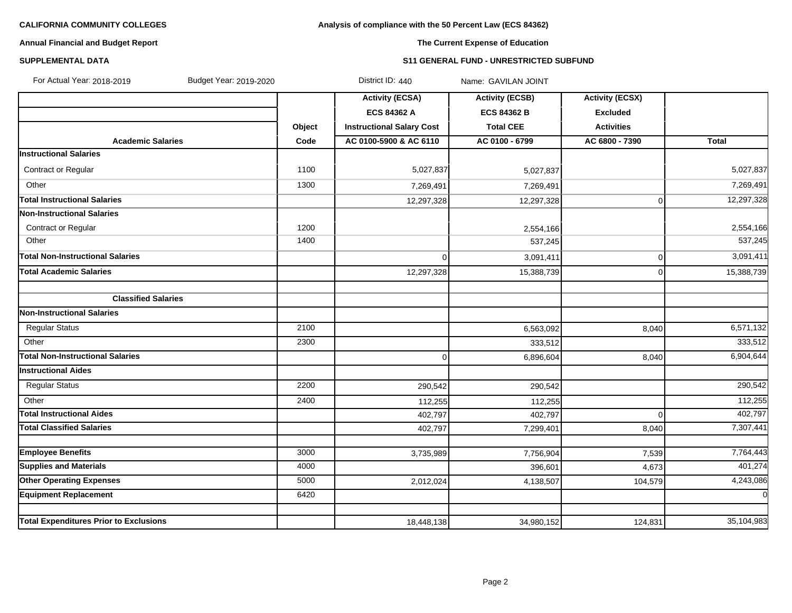### **Analysis of compliance with the 50 Percent Law (ECS 84362)**

### **Annual Financial and Budget Report**

# **The Current Expense of Education**

### **SUPPLEMENTAL DATA S11 GENERAL FUND - UNRESTRICTED SUBFUND**

| For Actual Year: 2018-2019<br>Budget Year: 2019-2020 |        | District ID: 440                 | Name: GAVILAN JOINT    |                        |              |
|------------------------------------------------------|--------|----------------------------------|------------------------|------------------------|--------------|
|                                                      |        | <b>Activity (ECSA)</b>           | <b>Activity (ECSB)</b> | <b>Activity (ECSX)</b> |              |
|                                                      |        | <b>ECS 84362 A</b>               | <b>ECS 84362 B</b>     | <b>Excluded</b>        |              |
|                                                      | Object | <b>Instructional Salary Cost</b> | <b>Total CEE</b>       | <b>Activities</b>      |              |
| <b>Academic Salaries</b>                             | Code   | AC 0100-5900 & AC 6110           | AC 0100 - 6799         | AC 6800 - 7390         | <b>Total</b> |
| <b>Instructional Salaries</b>                        |        |                                  |                        |                        |              |
| <b>Contract or Regular</b>                           | 1100   | 5,027,837                        | 5,027,837              |                        | 5,027,837    |
| Other                                                | 1300   | 7,269,491                        | 7,269,491              |                        | 7,269,491    |
| <b>Total Instructional Salaries</b>                  |        | 12,297,328                       | 12,297,328             | $\overline{0}$         | 12,297,328   |
| <b>Non-Instructional Salaries</b>                    |        |                                  |                        |                        |              |
| Contract or Regular                                  | 1200   |                                  | 2,554,166              |                        | 2,554,166    |
| Other                                                | 1400   |                                  | 537,245                |                        | 537,245      |
| Total Non-Instructional Salaries                     |        | $\overline{0}$                   | 3,091,411              | $\overline{0}$         | 3,091,411    |
| <b>Total Academic Salaries</b>                       |        | 12,297,328                       | 15,388,739             | $\Omega$               | 15,388,739   |
| <b>Classified Salaries</b>                           |        |                                  |                        |                        |              |
| <b>Non-Instructional Salaries</b>                    |        |                                  |                        |                        |              |
| <b>Regular Status</b>                                | 2100   |                                  | 6,563,092              | 8,040                  | 6,571,132    |
| Other                                                | 2300   |                                  | 333,512                |                        | 333,512      |
| Total Non-Instructional Salaries                     |        | $\overline{0}$                   | 6,896,604              | 8,040                  | 6,904,644    |
| <b>Instructional Aides</b>                           |        |                                  |                        |                        |              |
| <b>Regular Status</b>                                | 2200   | 290,542                          | 290,542                |                        | 290,542      |
| Other                                                | 2400   | 112,255                          | 112,255                |                        | 112,255      |
| <b>Total Instructional Aides</b>                     |        | 402,797                          | 402,797                | $\Omega$               | 402,797      |
| <b>Total Classified Salaries</b>                     |        | 402,797                          | 7,299,401              | 8,040                  | 7,307,441    |
|                                                      |        |                                  |                        |                        |              |
| <b>Employee Benefits</b>                             | 3000   | 3,735,989                        | 7,756,904              | 7,539                  | 7,764,443    |
| <b>Supplies and Materials</b>                        | 4000   |                                  | 396.601                | 4,673                  | 401,274      |
| <b>Other Operating Expenses</b>                      | 5000   | 2,012,024                        | 4,138,507              | 104,579                | 4,243,086    |
| <b>Equipment Replacement</b>                         | 6420   |                                  |                        |                        | $\Omega$     |
| <b>Total Expenditures Prior to Exclusions</b>        |        | 18,448,138                       | 34,980,152             | 124,831                | 35,104,983   |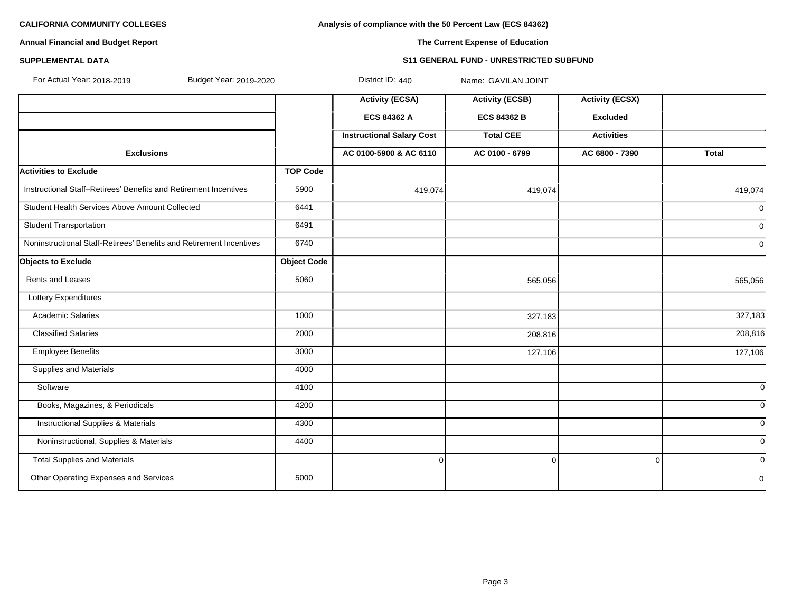**Analysis of compliance with the 50 Percent Law (ECS 84362)**

### **Annual Financial and Budget Report**

### **The Current Expense of Education**

### **SUPPLEMENTAL DATA S11 GENERAL FUND - UNRESTRICTED SUBFUND**

| For Actual Year: 2018-2019<br>Budget Year: 2019-2020                |                    | District ID: 440                 | Name: GAVILAN JOINT    |                        |              |
|---------------------------------------------------------------------|--------------------|----------------------------------|------------------------|------------------------|--------------|
|                                                                     |                    | <b>Activity (ECSA)</b>           | <b>Activity (ECSB)</b> | <b>Activity (ECSX)</b> |              |
|                                                                     |                    | <b>ECS 84362 A</b>               | <b>ECS 84362 B</b>     | <b>Excluded</b>        |              |
|                                                                     |                    | <b>Instructional Salary Cost</b> | <b>Total CEE</b>       | <b>Activities</b>      |              |
| <b>Exclusions</b>                                                   |                    | AC 0100-5900 & AC 6110           | AC 0100 - 6799         | AC 6800 - 7390         | <b>Total</b> |
| <b>Activities to Exclude</b>                                        | <b>TOP Code</b>    |                                  |                        |                        |              |
| Instructional Staff-Retirees' Benefits and Retirement Incentives    | 5900               | 419,074                          | 419,074                |                        | 419,074      |
| Student Health Services Above Amount Collected                      | 6441               |                                  |                        |                        | 0l           |
| <b>Student Transportation</b>                                       | 6491               |                                  |                        |                        | 01           |
| Noninstructional Staff-Retirees' Benefits and Retirement Incentives | 6740               |                                  |                        |                        | 0            |
| Objects to Exclude                                                  | <b>Object Code</b> |                                  |                        |                        |              |
| Rents and Leases                                                    | 5060               |                                  | 565,056                |                        | 565,056      |
| Lottery Expenditures                                                |                    |                                  |                        |                        |              |
| <b>Academic Salaries</b>                                            | 1000               |                                  | 327,183                |                        | 327,183      |
| <b>Classified Salaries</b>                                          | 2000               |                                  | 208,816                |                        | 208,816      |
| <b>Employee Benefits</b>                                            | 3000               |                                  | 127,106                |                        | 127,106      |
| <b>Supplies and Materials</b>                                       | 4000               |                                  |                        |                        |              |
| Software                                                            | 4100               |                                  |                        |                        | $\Omega$     |
| Books, Magazines, & Periodicals                                     | 4200               |                                  |                        |                        | 0l           |
| <b>Instructional Supplies &amp; Materials</b>                       | 4300               |                                  |                        |                        | <sub>0</sub> |
| Noninstructional, Supplies & Materials                              | 4400               |                                  |                        |                        | <sub>0</sub> |
| <b>Total Supplies and Materials</b>                                 |                    | $\Omega$                         | $\overline{0}$         | $\Omega$               | 0l           |
| Other Operating Expenses and Services                               | 5000               |                                  |                        |                        | 0l           |
|                                                                     |                    |                                  |                        |                        |              |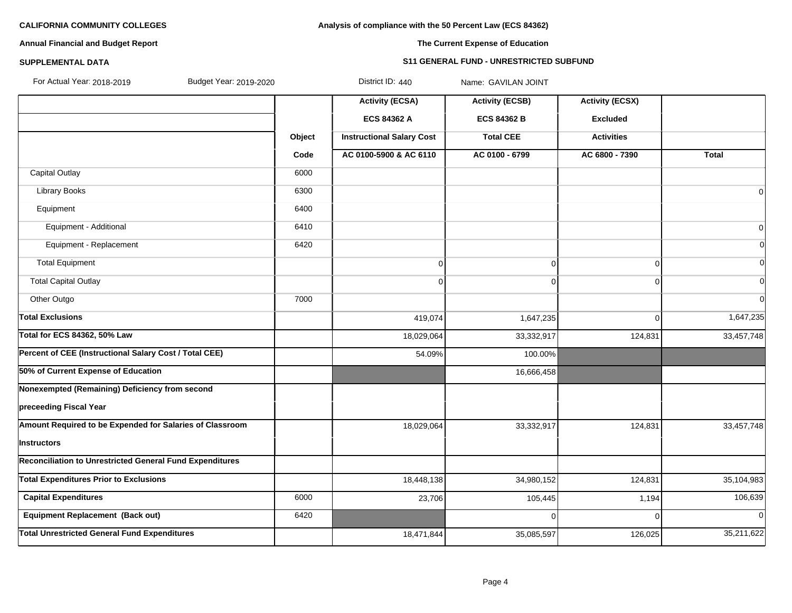### **Analysis of compliance with the 50 Percent Law (ECS 84362)**

### **Annual Financial and Budget Report**

# **The Current Expense of Education**

### **SUPPLEMENTAL DATA S11 GENERAL FUND - UNRESTRICTED SUBFUND**

| For Actual Year: 2018-2019 |  |
|----------------------------|--|

Budget Year: 2019-2020 **District ID: 440** Name: GAVILAN JOINT

|                                                          |        | <b>Activity (ECSA)</b>           | <b>Activity (ECSB)</b> | <b>Activity (ECSX)</b> |              |
|----------------------------------------------------------|--------|----------------------------------|------------------------|------------------------|--------------|
|                                                          |        | <b>ECS 84362 A</b>               | <b>ECS 84362 B</b>     | <b>Excluded</b>        |              |
|                                                          | Object | <b>Instructional Salary Cost</b> | <b>Total CEE</b>       | <b>Activities</b>      |              |
|                                                          | Code   | AC 0100-5900 & AC 6110           | AC 0100 - 6799         | AC 6800 - 7390         | <b>Total</b> |
| <b>Capital Outlay</b>                                    | 6000   |                                  |                        |                        |              |
| Library Books                                            | 6300   |                                  |                        |                        | $\Omega$     |
| Equipment                                                | 6400   |                                  |                        |                        |              |
| Equipment - Additional                                   | 6410   |                                  |                        |                        | 0            |
| Equipment - Replacement                                  | 6420   |                                  |                        |                        | $\Omega$     |
| <b>Total Equipment</b>                                   |        | $\overline{0}$                   | $\overline{0}$         | $\Omega$               | $\Omega$     |
| <b>Total Capital Outlay</b>                              |        | 0                                | $\Omega$               | $\Omega$               | U            |
| Other Outgo                                              | 7000   |                                  |                        |                        | <sub>0</sub> |
| <b>Total Exclusions</b>                                  |        | 419,074                          | 1,647,235              | $\Omega$               | 1,647,235    |
| Total for ECS 84362, 50% Law                             |        | 18,029,064                       | 33,332,917             | 124,831                | 33,457,748   |
| Percent of CEE (Instructional Salary Cost / Total CEE)   |        | 54.09%                           | 100.00%                |                        |              |
| 50% of Current Expense of Education                      |        |                                  | 16,666,458             |                        |              |
| Nonexempted (Remaining) Deficiency from second           |        |                                  |                        |                        |              |
| preceeding Fiscal Year                                   |        |                                  |                        |                        |              |
| Amount Required to be Expended for Salaries of Classroom |        | 18,029,064                       | 33,332,917             | 124,831                | 33,457,748   |
| Instructors                                              |        |                                  |                        |                        |              |
| Reconciliation to Unrestricted General Fund Expenditures |        |                                  |                        |                        |              |
| <b>Total Expenditures Prior to Exclusions</b>            |        | 18,448,138                       | 34,980,152             | 124,831                | 35,104,983   |
| <b>Capital Expenditures</b>                              | 6000   | 23,706                           | 105,445                | 1,194                  | 106,639      |
| Equipment Replacement (Back out)                         | 6420   |                                  | 0                      |                        | $\Omega$     |
| <b>Total Unrestricted General Fund Expenditures</b>      |        | 18,471,844                       | 35,085,597             | 126,025                | 35,211,622   |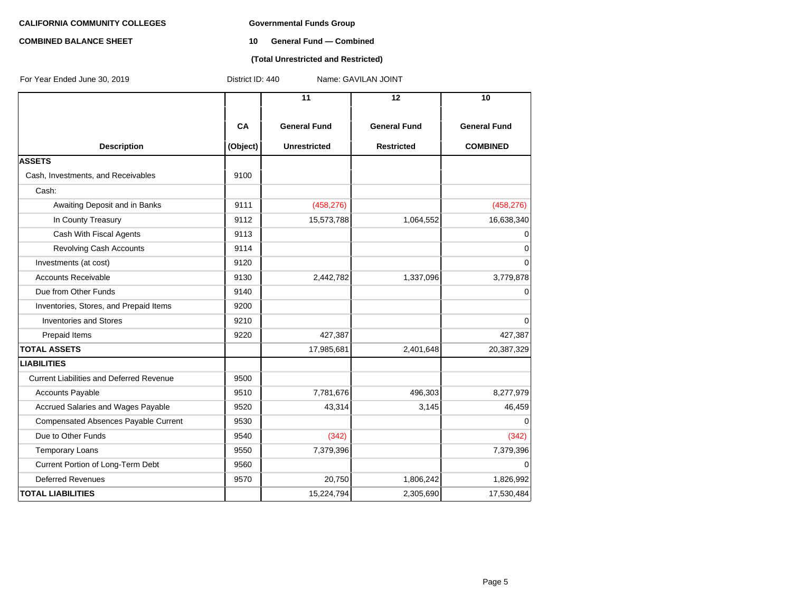### **COMBINED BALANCE SHEET 10 General Fund — Combined**

### **(Total Unrestricted and Restricted)**

| For Year Ended June 30, 2019                    | District ID: 440<br>Name: GAVILAN JOINT |                     |                     |                     |  |  |
|-------------------------------------------------|-----------------------------------------|---------------------|---------------------|---------------------|--|--|
|                                                 |                                         | 11                  | 12                  | 10                  |  |  |
|                                                 | CA                                      | <b>General Fund</b> | <b>General Fund</b> | <b>General Fund</b> |  |  |
| <b>Description</b>                              | (Object)                                | <b>Unrestricted</b> | <b>Restricted</b>   | <b>COMBINED</b>     |  |  |
| <b>ASSETS</b>                                   |                                         |                     |                     |                     |  |  |
| Cash, Investments, and Receivables              | 9100                                    |                     |                     |                     |  |  |
| Cash:                                           |                                         |                     |                     |                     |  |  |
| Awaiting Deposit and in Banks                   | 9111                                    | (458, 276)          |                     | (458, 276)          |  |  |
| In County Treasury                              | 9112                                    | 15,573,788          | 1,064,552           | 16,638,340          |  |  |
| Cash With Fiscal Agents                         | 9113                                    |                     |                     | $\mathbf 0$         |  |  |
| Revolving Cash Accounts                         | 9114                                    |                     |                     | $\mathbf 0$         |  |  |
| Investments (at cost)                           | 9120                                    |                     |                     | $\mathbf 0$         |  |  |
| <b>Accounts Receivable</b>                      | 9130                                    | 2,442,782           | 1,337,096           | 3,779,878           |  |  |
| Due from Other Funds                            | 9140                                    |                     |                     | $\mathbf 0$         |  |  |
| Inventories, Stores, and Prepaid Items          | 9200                                    |                     |                     |                     |  |  |
| <b>Inventories and Stores</b>                   | 9210                                    |                     |                     | 0                   |  |  |
| Prepaid Items                                   | 9220                                    | 427,387             |                     | 427,387             |  |  |
| <b>TOTAL ASSETS</b>                             |                                         | 17,985,681          | 2,401,648           | 20,387,329          |  |  |
| <b>LIABILITIES</b>                              |                                         |                     |                     |                     |  |  |
| <b>Current Liabilities and Deferred Revenue</b> | 9500                                    |                     |                     |                     |  |  |
| <b>Accounts Payable</b>                         | 9510                                    | 7,781,676           | 496,303             | 8,277,979           |  |  |
| Accrued Salaries and Wages Payable              | 9520                                    | 43,314              | 3,145               | 46,459              |  |  |
| <b>Compensated Absences Payable Current</b>     | 9530                                    |                     |                     | $\Omega$            |  |  |
| Due to Other Funds                              | 9540                                    | (342)               |                     | (342)               |  |  |
| <b>Temporary Loans</b>                          | 9550                                    | 7,379,396           |                     | 7,379,396           |  |  |
| Current Portion of Long-Term Debt               | 9560                                    |                     |                     | $\mathbf 0$         |  |  |
| <b>Deferred Revenues</b>                        | 9570                                    | 20,750              | 1,806,242           | 1,826,992           |  |  |
| <b>TOTAL LIABILITIES</b>                        |                                         | 15,224,794          | 2,305,690           | 17,530,484          |  |  |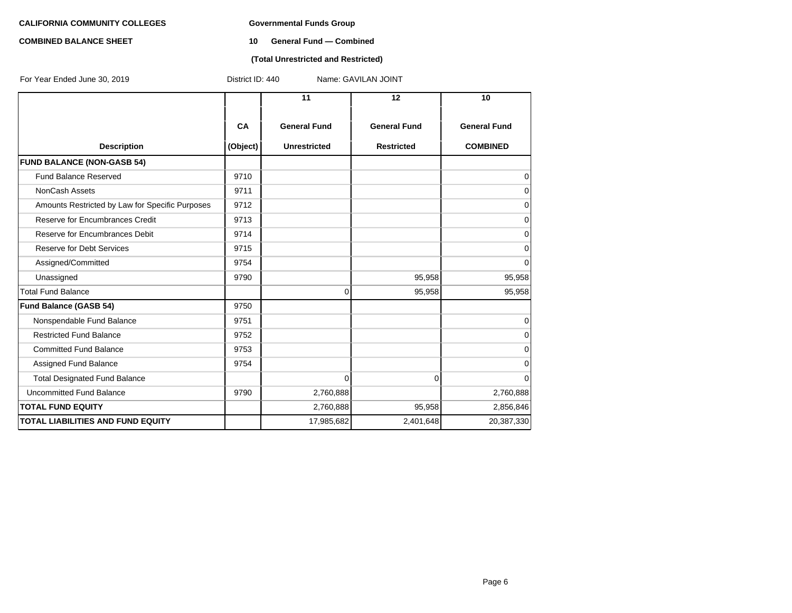### **COMBINED BALANCE SHEET 10 General Fund — Combined**

### **(Total Unrestricted and Restricted)**

| For Year Ended June 30, 2019                    | District ID: 440<br>Name: GAVILAN JOINT |                     |                     |                     |  |  |  |
|-------------------------------------------------|-----------------------------------------|---------------------|---------------------|---------------------|--|--|--|
|                                                 |                                         | 11                  | 12                  | 10 <sup>1</sup>     |  |  |  |
|                                                 | <b>CA</b>                               | <b>General Fund</b> | <b>General Fund</b> | <b>General Fund</b> |  |  |  |
| <b>Description</b>                              | (Object)                                | <b>Unrestricted</b> | <b>Restricted</b>   | <b>COMBINED</b>     |  |  |  |
| <b>FUND BALANCE (NON-GASB 54)</b>               |                                         |                     |                     |                     |  |  |  |
| <b>Fund Balance Reserved</b>                    | 9710                                    |                     |                     | 0                   |  |  |  |
| NonCash Assets                                  | 9711                                    |                     |                     | 0                   |  |  |  |
| Amounts Restricted by Law for Specific Purposes | 9712                                    |                     |                     | 0                   |  |  |  |
| Reserve for Encumbrances Credit                 | 9713                                    |                     |                     | $\mathbf 0$         |  |  |  |
| Reserve for Encumbrances Debit                  | 9714                                    |                     |                     | $\mathbf 0$         |  |  |  |
| <b>Reserve for Debt Services</b>                | 9715                                    |                     |                     | $\mathbf 0$         |  |  |  |
| Assigned/Committed                              | 9754                                    |                     |                     | $\Omega$            |  |  |  |
| Unassigned                                      | 9790                                    |                     | 95,958              | 95,958              |  |  |  |
| <b>Total Fund Balance</b>                       |                                         | 0                   | 95,958              | 95,958              |  |  |  |
| Fund Balance (GASB 54)                          | 9750                                    |                     |                     |                     |  |  |  |
| Nonspendable Fund Balance                       | 9751                                    |                     |                     | $\mathbf 0$         |  |  |  |
| <b>Restricted Fund Balance</b>                  | 9752                                    |                     |                     | $\Omega$            |  |  |  |
| <b>Committed Fund Balance</b>                   | 9753                                    |                     |                     | $\mathbf 0$         |  |  |  |
| Assigned Fund Balance                           | 9754                                    |                     |                     | $\mathbf 0$         |  |  |  |
| <b>Total Designated Fund Balance</b>            |                                         | $\overline{0}$      | $\overline{0}$      | $\mathbf 0$         |  |  |  |
| Uncommitted Fund Balance                        | 9790                                    | 2,760,888           |                     | 2,760,888           |  |  |  |
| <b>TOTAL FUND EQUITY</b>                        |                                         | 2,760,888           | 95,958              | 2,856,846           |  |  |  |
| <b>TOTAL LIABILITIES AND FUND EQUITY</b>        |                                         | 17,985,682          | 2,401,648           | 20,387,330          |  |  |  |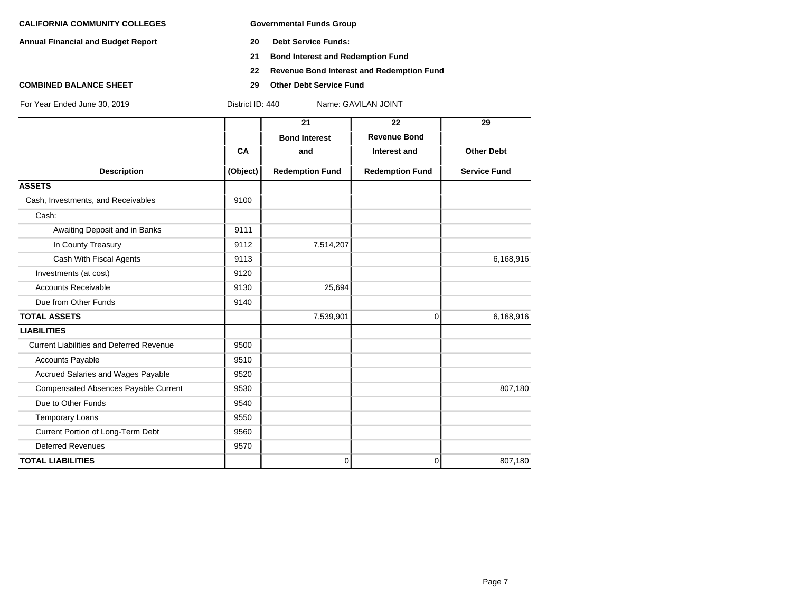**Annual Financial and Budget Report 20 Debt Service Funds:**

- 
- **21 Bond Interest and Redemption Fund**
- **22 Revenue Bond Interest and Redemption Fund**
- **COMBINED BALANCE SHEET 29 Other Debt Service Fund**

|                                                 |          | 21                     | 22                     | 29                  |
|-------------------------------------------------|----------|------------------------|------------------------|---------------------|
|                                                 |          | <b>Bond Interest</b>   | <b>Revenue Bond</b>    |                     |
|                                                 | CA       | and                    | Interest and           | <b>Other Debt</b>   |
| <b>Description</b>                              | (Object) | <b>Redemption Fund</b> | <b>Redemption Fund</b> | <b>Service Fund</b> |
| <b>ASSETS</b>                                   |          |                        |                        |                     |
| Cash, Investments, and Receivables              | 9100     |                        |                        |                     |
| Cash:                                           |          |                        |                        |                     |
| Awaiting Deposit and in Banks                   | 9111     |                        |                        |                     |
| In County Treasury                              | 9112     | 7,514,207              |                        |                     |
| Cash With Fiscal Agents                         | 9113     |                        |                        | 6,168,916           |
| Investments (at cost)                           | 9120     |                        |                        |                     |
| <b>Accounts Receivable</b>                      | 9130     | 25,694                 |                        |                     |
| Due from Other Funds                            | 9140     |                        |                        |                     |
| <b>TOTAL ASSETS</b>                             |          | 7,539,901              | 0                      | 6,168,916           |
| <b>LIABILITIES</b>                              |          |                        |                        |                     |
| <b>Current Liabilities and Deferred Revenue</b> | 9500     |                        |                        |                     |
| <b>Accounts Payable</b>                         | 9510     |                        |                        |                     |
| Accrued Salaries and Wages Payable              | 9520     |                        |                        |                     |
| <b>Compensated Absences Payable Current</b>     | 9530     |                        |                        | 807,180             |
| Due to Other Funds                              | 9540     |                        |                        |                     |
| <b>Temporary Loans</b>                          | 9550     |                        |                        |                     |
| Current Portion of Long-Term Debt               | 9560     |                        |                        |                     |
| <b>Deferred Revenues</b>                        | 9570     |                        |                        |                     |
| <b>TOTAL LIABILITIES</b>                        |          | $\overline{0}$         | 0                      | 807,180             |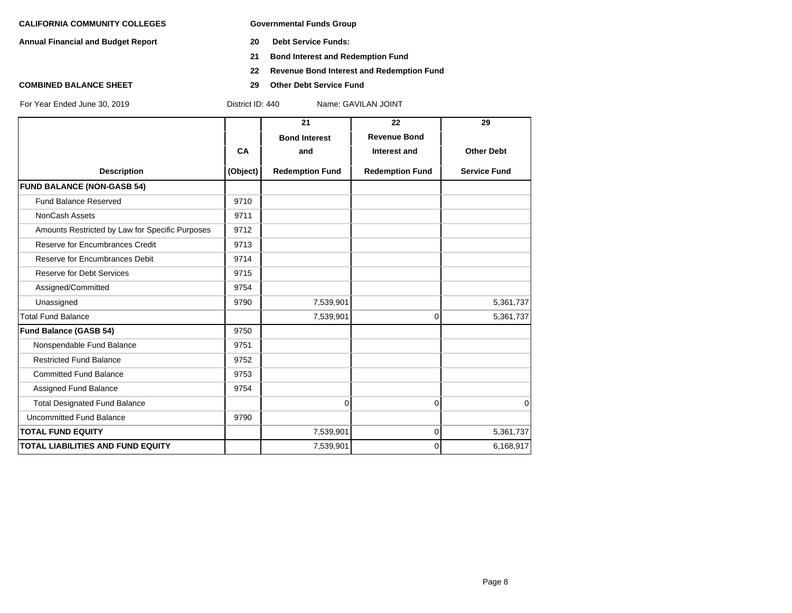**Annual Financial and Budget Report 20 Debt Service Funds:**

- 
- **21 Bond Interest and Redemption Fund**
- **22 Revenue Bond Interest and Redemption Fund**
- **COMBINED BALANCE SHEET 29 Other Debt Service Fund**

|                                                 |           | 21                     | 22                     | 29                  |
|-------------------------------------------------|-----------|------------------------|------------------------|---------------------|
|                                                 |           | <b>Bond Interest</b>   | <b>Revenue Bond</b>    |                     |
|                                                 | <b>CA</b> | and                    | Interest and           | <b>Other Debt</b>   |
| <b>Description</b>                              | (Object)  | <b>Redemption Fund</b> | <b>Redemption Fund</b> | <b>Service Fund</b> |
| <b>FUND BALANCE (NON-GASB 54)</b>               |           |                        |                        |                     |
| <b>Fund Balance Reserved</b>                    | 9710      |                        |                        |                     |
| NonCash Assets                                  | 9711      |                        |                        |                     |
| Amounts Restricted by Law for Specific Purposes | 9712      |                        |                        |                     |
| Reserve for Encumbrances Credit                 | 9713      |                        |                        |                     |
| Reserve for Encumbrances Debit                  | 9714      |                        |                        |                     |
| <b>Reserve for Debt Services</b>                | 9715      |                        |                        |                     |
| Assigned/Committed                              | 9754      |                        |                        |                     |
| Unassigned                                      | 9790      | 7,539,901              |                        | 5,361,737           |
| <b>Total Fund Balance</b>                       |           | 7,539,901              | 0                      | 5,361,737           |
| <b>Fund Balance (GASB 54)</b>                   | 9750      |                        |                        |                     |
| Nonspendable Fund Balance                       | 9751      |                        |                        |                     |
| <b>Restricted Fund Balance</b>                  | 9752      |                        |                        |                     |
| <b>Committed Fund Balance</b>                   | 9753      |                        |                        |                     |
| Assigned Fund Balance                           | 9754      |                        |                        |                     |
| <b>Total Designated Fund Balance</b>            |           | 0                      | 0                      | $\mathbf 0$         |
| <b>Uncommitted Fund Balance</b>                 | 9790      |                        |                        |                     |
| <b>TOTAL FUND EQUITY</b>                        |           | 7,539,901              | 0                      | 5,361,737           |
| <b>TOTAL LIABILITIES AND FUND EQUITY</b>        |           | 7,539,901              | $\Omega$               | 6,168,917           |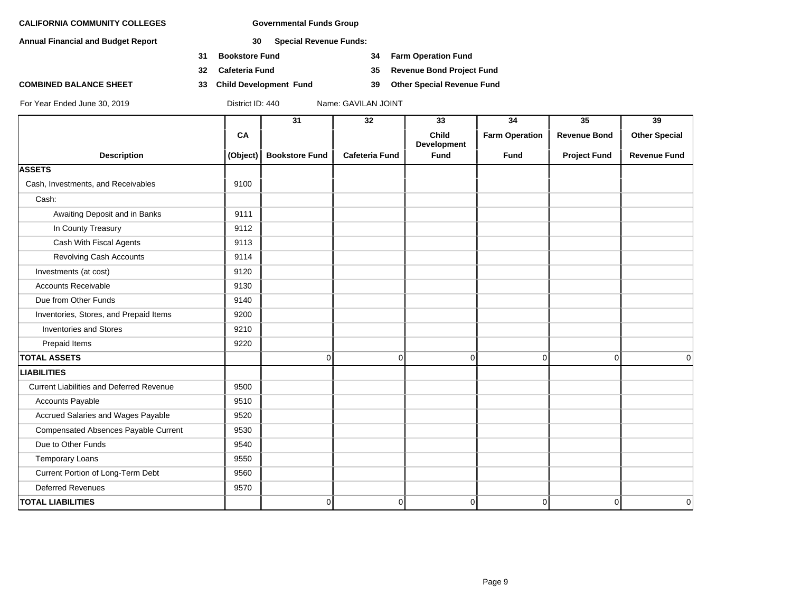**Annual Financial and Budget Report 30 Special Revenue Funds:**

- **31 Bookstore Fund 34 Farm Operation Fund**
- **32 Cafeteria Fund 35 Revenue Bond Project Fund**
- **COMBINED BALANCE SHEET 33 Child Development Fund 39 Other Special Revenue Fund**

|                                                 |          | 31                    | 32                    | 33                          | 34                    | 35                  | 39                   |
|-------------------------------------------------|----------|-----------------------|-----------------------|-----------------------------|-----------------------|---------------------|----------------------|
|                                                 | CA       |                       |                       | <b>Child</b><br>Development | <b>Farm Operation</b> | <b>Revenue Bond</b> | <b>Other Special</b> |
| <b>Description</b>                              | (Object) | <b>Bookstore Fund</b> | <b>Cafeteria Fund</b> | <b>Fund</b>                 | <b>Fund</b>           | <b>Project Fund</b> | <b>Revenue Fund</b>  |
| <b>ASSETS</b>                                   |          |                       |                       |                             |                       |                     |                      |
| Cash, Investments, and Receivables              | 9100     |                       |                       |                             |                       |                     |                      |
| Cash:                                           |          |                       |                       |                             |                       |                     |                      |
| Awaiting Deposit and in Banks                   | 9111     |                       |                       |                             |                       |                     |                      |
| In County Treasury                              | 9112     |                       |                       |                             |                       |                     |                      |
| Cash With Fiscal Agents                         | 9113     |                       |                       |                             |                       |                     |                      |
| Revolving Cash Accounts                         | 9114     |                       |                       |                             |                       |                     |                      |
| Investments (at cost)                           | 9120     |                       |                       |                             |                       |                     |                      |
| <b>Accounts Receivable</b>                      | 9130     |                       |                       |                             |                       |                     |                      |
| Due from Other Funds                            | 9140     |                       |                       |                             |                       |                     |                      |
| Inventories, Stores, and Prepaid Items          | 9200     |                       |                       |                             |                       |                     |                      |
| <b>Inventories and Stores</b>                   | 9210     |                       |                       |                             |                       |                     |                      |
| Prepaid Items                                   | 9220     |                       |                       |                             |                       |                     |                      |
| <b>TOTAL ASSETS</b>                             |          | 0                     | $\overline{0}$        | $\mathbf 0$                 | $\overline{0}$        | $\Omega$            | $\Omega$             |
| <b>LIABILITIES</b>                              |          |                       |                       |                             |                       |                     |                      |
| <b>Current Liabilities and Deferred Revenue</b> | 9500     |                       |                       |                             |                       |                     |                      |
| Accounts Payable                                | 9510     |                       |                       |                             |                       |                     |                      |
| Accrued Salaries and Wages Payable              | 9520     |                       |                       |                             |                       |                     |                      |
| <b>Compensated Absences Payable Current</b>     | 9530     |                       |                       |                             |                       |                     |                      |
| Due to Other Funds                              | 9540     |                       |                       |                             |                       |                     |                      |
| <b>Temporary Loans</b>                          | 9550     |                       |                       |                             |                       |                     |                      |
| Current Portion of Long-Term Debt               | 9560     |                       |                       |                             |                       |                     |                      |
| <b>Deferred Revenues</b>                        | 9570     |                       |                       |                             |                       |                     |                      |
| <b>TOTAL LIABILITIES</b>                        |          | 0                     | $\overline{0}$        | 0                           | $\mathbf 0$           | $\overline{0}$      | 0                    |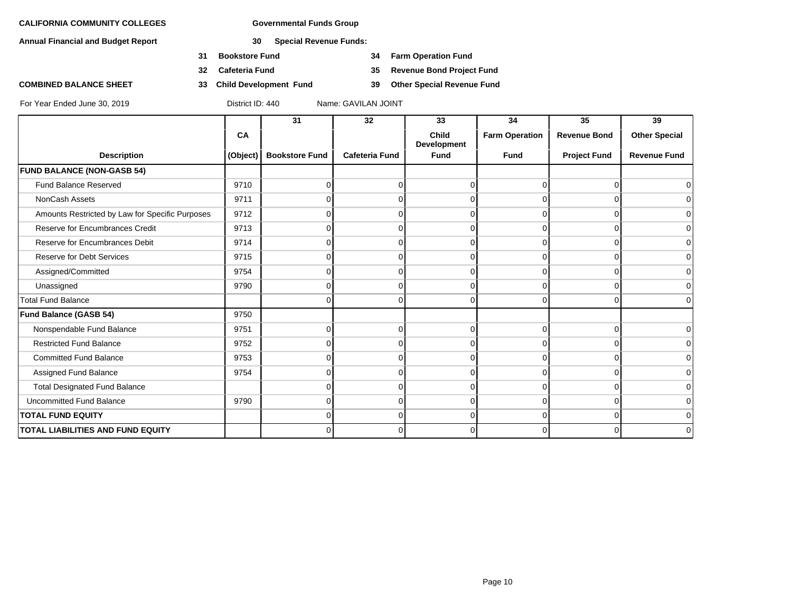**Annual Financial and Budget Report 30 Special Revenue Funds:**

- **31 Bookstore Fund 34 Farm Operation Fund**
- **32 Cafeteria Fund 35 Revenue Bond Project Fund**
- **COMBINED BALANCE SHEET 33 Child Development Fund 39 Other Special Revenue Fund**

|                                                 |          | 31                    | 32                    | 33                   | 34                    | 35                  | 39                   |
|-------------------------------------------------|----------|-----------------------|-----------------------|----------------------|-----------------------|---------------------|----------------------|
|                                                 | CA       |                       |                       | Child<br>Development | <b>Farm Operation</b> | <b>Revenue Bond</b> | <b>Other Special</b> |
| <b>Description</b>                              | (Object) | <b>Bookstore Fund</b> | <b>Cafeteria Fund</b> | <b>Fund</b>          | <b>Fund</b>           | <b>Project Fund</b> | <b>Revenue Fund</b>  |
| <b>FUND BALANCE (NON-GASB 54)</b>               |          |                       |                       |                      |                       |                     |                      |
| <b>Fund Balance Reserved</b>                    | 9710     | $\Omega$              | U                     | 0                    | U                     | ი                   |                      |
| NonCash Assets                                  | 9711     | 0                     |                       | n                    |                       |                     | 0                    |
| Amounts Restricted by Law for Specific Purposes | 9712     |                       |                       |                      |                       |                     | $\Omega$             |
| Reserve for Encumbrances Credit                 | 9713     | 0                     |                       | 0                    | O                     |                     | 0                    |
| Reserve for Encumbrances Debit                  | 9714     | 0                     |                       | 0                    | ∩                     |                     | 0                    |
| <b>Reserve for Debt Services</b>                | 9715     | O                     |                       | ∩                    |                       |                     | 0                    |
| Assigned/Committed                              | 9754     | 0                     |                       | 0                    | ∩                     |                     | 0                    |
| Unassigned                                      | 9790     | $\Omega$              |                       | 0                    | $\Omega$              | U                   | 0                    |
| <b>Total Fund Balance</b>                       |          | 0                     |                       | 0                    |                       |                     | $\Omega$             |
| <b>Fund Balance (GASB 54)</b>                   | 9750     |                       |                       |                      |                       |                     |                      |
| Nonspendable Fund Balance                       | 9751     | $\Omega$              |                       | 0                    | $\Omega$              | U                   | $\Omega$             |
| <b>Restricted Fund Balance</b>                  | 9752     | $\Omega$              |                       | 0                    | ∩                     |                     | 0                    |
| <b>Committed Fund Balance</b>                   | 9753     | O                     |                       | 0                    | ∩                     |                     | $\Omega$             |
| Assigned Fund Balance                           | 9754     | 0                     |                       | 0                    | ∩                     |                     | $\Omega$             |
| <b>Total Designated Fund Balance</b>            |          | O                     |                       | n                    |                       |                     | 0                    |
| <b>Uncommitted Fund Balance</b>                 | 9790     | 0                     |                       | 0                    | 0                     | U                   | $\mathbf 0$          |
| <b>TOTAL FUND EQUITY</b>                        |          | 0                     | $\Omega$              | $\overline{0}$       | $\overline{0}$        | 0                   | 0                    |
| <b>TOTAL LIABILITIES AND FUND EQUITY</b>        |          | 0                     |                       | 0                    | ∩                     |                     | $\Omega$             |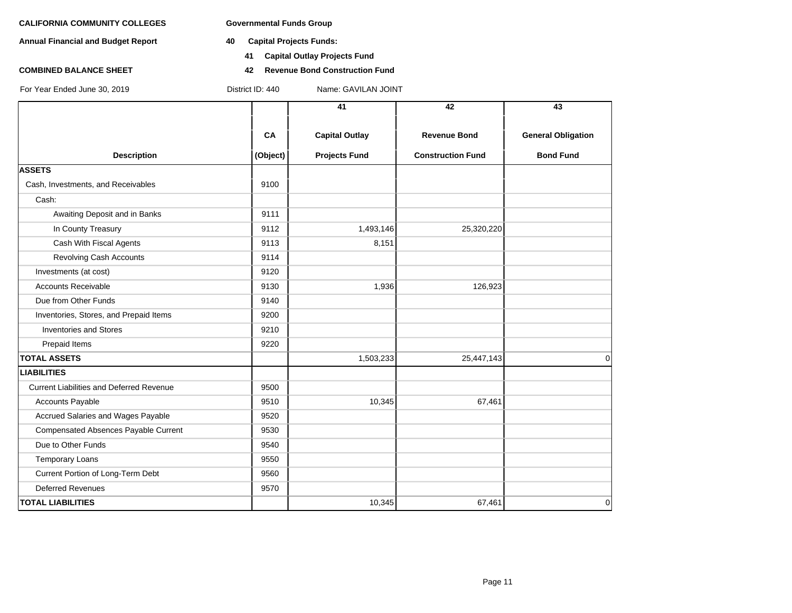**Annual Financial and Budget Report 40 Capital Projects Funds:**

**COMBINED BALANCE SHEET 42 Revenue Bond Construction Fund**

For Year Ended June 30, 2019 District ID: 440 Name: GAVILAN JOINT

**41 Capital Outlay Projects Fund**

|                                                 |          | 41                    | 42                       | 43                        |
|-------------------------------------------------|----------|-----------------------|--------------------------|---------------------------|
|                                                 |          |                       |                          |                           |
|                                                 | CA       | <b>Capital Outlay</b> | <b>Revenue Bond</b>      | <b>General Obligation</b> |
| <b>Description</b>                              | (Object) | <b>Projects Fund</b>  | <b>Construction Fund</b> | <b>Bond Fund</b>          |
| <b>ASSETS</b>                                   |          |                       |                          |                           |
| Cash, Investments, and Receivables              | 9100     |                       |                          |                           |
| Cash:                                           |          |                       |                          |                           |
| Awaiting Deposit and in Banks                   | 9111     |                       |                          |                           |
| In County Treasury                              | 9112     | 1,493,146             | 25,320,220               |                           |
| Cash With Fiscal Agents                         | 9113     | 8,151                 |                          |                           |
| Revolving Cash Accounts                         | 9114     |                       |                          |                           |
| Investments (at cost)                           | 9120     |                       |                          |                           |
| <b>Accounts Receivable</b>                      | 9130     | 1,936                 | 126,923                  |                           |
| Due from Other Funds                            | 9140     |                       |                          |                           |
| Inventories, Stores, and Prepaid Items          | 9200     |                       |                          |                           |
| <b>Inventories and Stores</b>                   | 9210     |                       |                          |                           |
| Prepaid Items                                   | 9220     |                       |                          |                           |
| <b>TOTAL ASSETS</b>                             |          | 1,503,233             | 25,447,143               | $\Omega$                  |
| <b>LIABILITIES</b>                              |          |                       |                          |                           |
| <b>Current Liabilities and Deferred Revenue</b> | 9500     |                       |                          |                           |
| <b>Accounts Payable</b>                         | 9510     | 10,345                | 67,461                   |                           |
| Accrued Salaries and Wages Payable              | 9520     |                       |                          |                           |
| Compensated Absences Payable Current            | 9530     |                       |                          |                           |
| Due to Other Funds                              | 9540     |                       |                          |                           |
| <b>Temporary Loans</b>                          | 9550     |                       |                          |                           |
| Current Portion of Long-Term Debt               | 9560     |                       |                          |                           |
| <b>Deferred Revenues</b>                        | 9570     |                       |                          |                           |
| <b>TOTAL LIABILITIES</b>                        |          | 10,345                | 67,461                   | 0                         |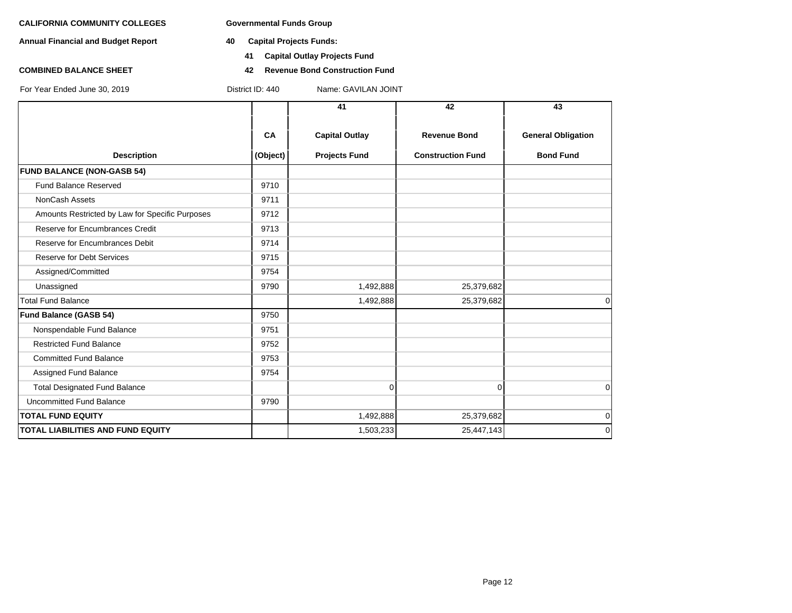**Annual Financial and Budget Report 40 Capital Projects Funds:**

For Year Ended June 30, 2019 District ID: 440 Name: GAVILAN JOINT

- - **41 Capital Outlay Projects Fund**
- **COMBINED BALANCE SHEET 42 Revenue Bond Construction Fund**

**41 42 43 CA Capital Outlay Revenue Bond General Obligation Description CODECT ACTES (Object) Projects Fund Construction Fund Bond Fund FUND BALANCE (NON-GASB 54)** Fund Balance Reserved 9710 NonCash Assets 8711 Amounts Restricted by Law for Specific Purposes 9712 Reserve for Encumbrances Credit 19713 Reserve for Encumbrances Debit 19714 Reserve for Debt Services **19715** Assigned/Committed 9754 Unassigned 9790 1,492,888 25,379,682 Total Fund Balance 1,492,888 25,379,682 0 **Fund Balance (GASB 54)** 9750 Nonspendable Fund Balance 9751 Restricted Fund Balance 9752 Committed Fund Balance 9753 Assigned Fund Balance 9754 Total Designated Fund Balance 0 0 0 Uncommitted Fund Balance 9790 **TOTAL FUND EQUITY** 1,492,888 25,379,682 0 **TOTAL LIABILITIES AND FUND EQUITY** 1,503,233 25,447,143 25,447,143 25,447,143 0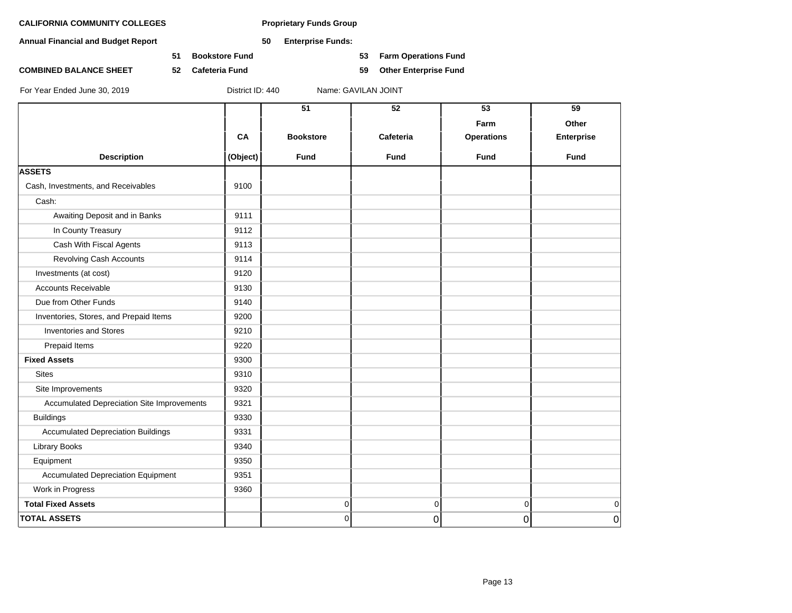**Annual Financial and Budget Report 50 Enterprise Funds:**

**51 Bookstore Fund 53 Farm Operations Fund**

**COMBINED BALANCE SHEET 52 Cafeteria Fund 59 Other Enterprise Fund**

|                                            |          | $\overline{51}$  | $\overline{52}$ | 53                | 59                |
|--------------------------------------------|----------|------------------|-----------------|-------------------|-------------------|
|                                            |          |                  |                 | Farm              | Other             |
|                                            | CA       | <b>Bookstore</b> | Cafeteria       | <b>Operations</b> | <b>Enterprise</b> |
| <b>Description</b>                         | (Object) | <b>Fund</b>      | <b>Fund</b>     | <b>Fund</b>       | <b>Fund</b>       |
| <b>ASSETS</b>                              |          |                  |                 |                   |                   |
| Cash, Investments, and Receivables         | 9100     |                  |                 |                   |                   |
| Cash:                                      |          |                  |                 |                   |                   |
| Awaiting Deposit and in Banks              | 9111     |                  |                 |                   |                   |
| In County Treasury                         | 9112     |                  |                 |                   |                   |
| Cash With Fiscal Agents                    | 9113     |                  |                 |                   |                   |
| <b>Revolving Cash Accounts</b>             | 9114     |                  |                 |                   |                   |
| Investments (at cost)                      | 9120     |                  |                 |                   |                   |
| <b>Accounts Receivable</b>                 | 9130     |                  |                 |                   |                   |
| Due from Other Funds                       | 9140     |                  |                 |                   |                   |
| Inventories, Stores, and Prepaid Items     | 9200     |                  |                 |                   |                   |
| <b>Inventories and Stores</b>              | 9210     |                  |                 |                   |                   |
| Prepaid Items                              | 9220     |                  |                 |                   |                   |
| <b>Fixed Assets</b>                        | 9300     |                  |                 |                   |                   |
| <b>Sites</b>                               | 9310     |                  |                 |                   |                   |
| Site Improvements                          | 9320     |                  |                 |                   |                   |
| Accumulated Depreciation Site Improvements | 9321     |                  |                 |                   |                   |
| <b>Buildings</b>                           | 9330     |                  |                 |                   |                   |
| <b>Accumulated Depreciation Buildings</b>  | 9331     |                  |                 |                   |                   |
| <b>Library Books</b>                       | 9340     |                  |                 |                   |                   |
| Equipment                                  | 9350     |                  |                 |                   |                   |
| <b>Accumulated Depreciation Equipment</b>  | 9351     |                  |                 |                   |                   |
| Work in Progress                           | 9360     |                  |                 |                   |                   |
| <b>Total Fixed Assets</b>                  |          | 0                | $\overline{0}$  | $\vert 0 \vert$   | 0                 |
| <b>TOTAL ASSETS</b>                        |          | 0                | 0               | $\overline{0}$    | $\overline{0}$    |
|                                            |          |                  |                 |                   |                   |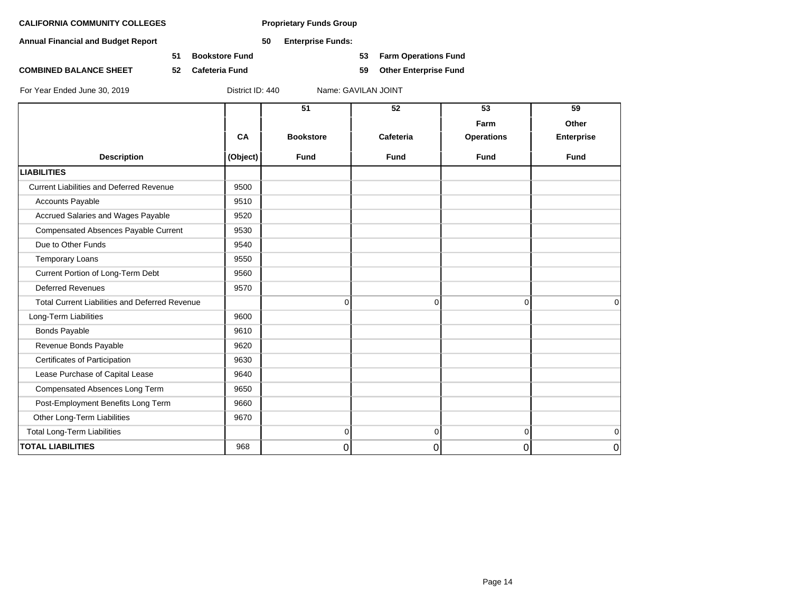**Annual Financial and Budget Report 50 Enterprise Funds:**

**51 Bookstore Fund 53 Farm Operations Fund**

**COMBINED BALANCE SHEET 52 Cafeteria Fund 59 Other Enterprise Fund**

|                                                       | CA       | 51<br><b>Bookstore</b> | 52<br>Cafeteria | 53<br>Farm<br><b>Operations</b> | 59<br>Other<br>Enterprise |
|-------------------------------------------------------|----------|------------------------|-----------------|---------------------------------|---------------------------|
| <b>Description</b>                                    | (Object) | Fund                   | <b>Fund</b>     | <b>Fund</b>                     | <b>Fund</b>               |
| <b>LIABILITIES</b>                                    |          |                        |                 |                                 |                           |
| <b>Current Liabilities and Deferred Revenue</b>       | 9500     |                        |                 |                                 |                           |
| <b>Accounts Payable</b>                               | 9510     |                        |                 |                                 |                           |
| Accrued Salaries and Wages Payable                    | 9520     |                        |                 |                                 |                           |
| Compensated Absences Payable Current                  | 9530     |                        |                 |                                 |                           |
| Due to Other Funds                                    | 9540     |                        |                 |                                 |                           |
| <b>Temporary Loans</b>                                | 9550     |                        |                 |                                 |                           |
| Current Portion of Long-Term Debt                     | 9560     |                        |                 |                                 |                           |
| <b>Deferred Revenues</b>                              | 9570     |                        |                 |                                 |                           |
| <b>Total Current Liabilities and Deferred Revenue</b> |          |                        | 0<br>$\Omega$   | $\Omega$                        | $\Omega$                  |
| Long-Term Liabilities                                 | 9600     |                        |                 |                                 |                           |
| <b>Bonds Payable</b>                                  | 9610     |                        |                 |                                 |                           |
| Revenue Bonds Payable                                 | 9620     |                        |                 |                                 |                           |
| Certificates of Participation                         | 9630     |                        |                 |                                 |                           |
| Lease Purchase of Capital Lease                       | 9640     |                        |                 |                                 |                           |
| Compensated Absences Long Term                        | 9650     |                        |                 |                                 |                           |
| Post-Employment Benefits Long Term                    | 9660     |                        |                 |                                 |                           |
| Other Long-Term Liabilities                           | 9670     |                        |                 |                                 |                           |
| <b>Total Long-Term Liabilities</b>                    |          |                        | 0<br>0          | $\overline{0}$                  | $\mathbf 0$               |
| <b>TOTAL LIABILITIES</b>                              | 968      | 0                      | 0               | $\overline{0}$                  | 0                         |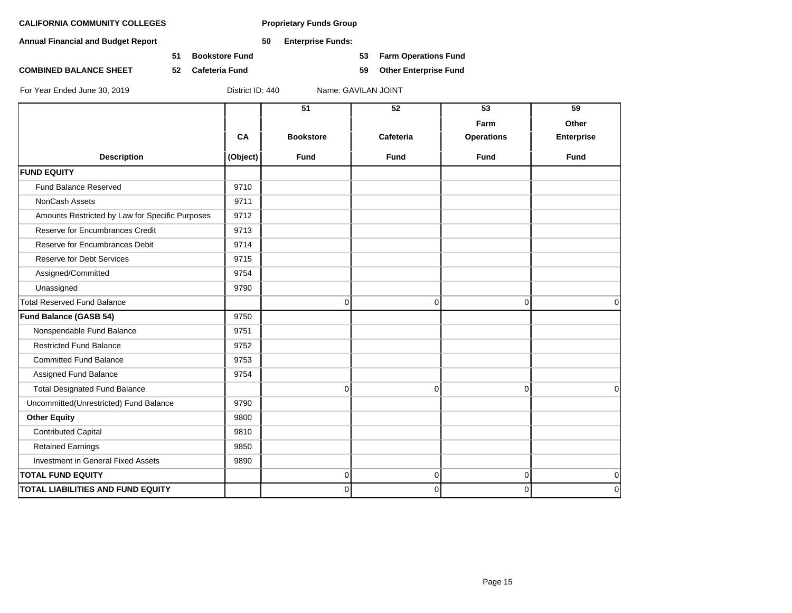**Annual Financial and Budget Report 50 Enterprise Funds:**

**51 Bookstore Fund 53 Farm Operations Fund**

**COMBINED BALANCE SHEET 52 Cafeteria Fund 59 Other Enterprise Fund**

|                                                 |          | 51               | $\overline{52}$ | 53                | 59          |
|-------------------------------------------------|----------|------------------|-----------------|-------------------|-------------|
|                                                 |          |                  |                 | Farm              | Other       |
|                                                 | CA       | <b>Bookstore</b> | Cafeteria       | <b>Operations</b> | Enterprise  |
| <b>Description</b>                              | (Object) | <b>Fund</b>      | <b>Fund</b>     | <b>Fund</b>       | <b>Fund</b> |
| <b>FUND EQUITY</b>                              |          |                  |                 |                   |             |
| Fund Balance Reserved                           | 9710     |                  |                 |                   |             |
| <b>NonCash Assets</b>                           | 9711     |                  |                 |                   |             |
| Amounts Restricted by Law for Specific Purposes | 9712     |                  |                 |                   |             |
| Reserve for Encumbrances Credit                 | 9713     |                  |                 |                   |             |
| Reserve for Encumbrances Debit                  | 9714     |                  |                 |                   |             |
| <b>Reserve for Debt Services</b>                | 9715     |                  |                 |                   |             |
| Assigned/Committed                              | 9754     |                  |                 |                   |             |
| Unassigned                                      | 9790     |                  |                 |                   |             |
| <b>Total Reserved Fund Balance</b>              |          | 0                | 0               | $\overline{0}$    | $\mathbf 0$ |
| <b>Fund Balance (GASB 54)</b>                   | 9750     |                  |                 |                   |             |
| Nonspendable Fund Balance                       | 9751     |                  |                 |                   |             |
| <b>Restricted Fund Balance</b>                  | 9752     |                  |                 |                   |             |
| <b>Committed Fund Balance</b>                   | 9753     |                  |                 |                   |             |
| Assigned Fund Balance                           | 9754     |                  |                 |                   |             |
| <b>Total Designated Fund Balance</b>            |          | 0                | $\Omega$        | $\Omega$          | $\Omega$    |
| Uncommitted(Unrestricted) Fund Balance          | 9790     |                  |                 |                   |             |
| <b>Other Equity</b>                             | 9800     |                  |                 |                   |             |
| <b>Contributed Capital</b>                      | 9810     |                  |                 |                   |             |
| <b>Retained Earnings</b>                        | 9850     |                  |                 |                   |             |
| Investment in General Fixed Assets              | 9890     |                  |                 |                   |             |
| <b>TOTAL FUND EQUITY</b>                        |          | 0                | $\mathbf 0$     | $\overline{0}$    | $\mathbf 0$ |
| <b>TOTAL LIABILITIES AND FUND EQUITY</b>        |          | 0                | 0               | $\overline{0}$    | $\mathbf 0$ |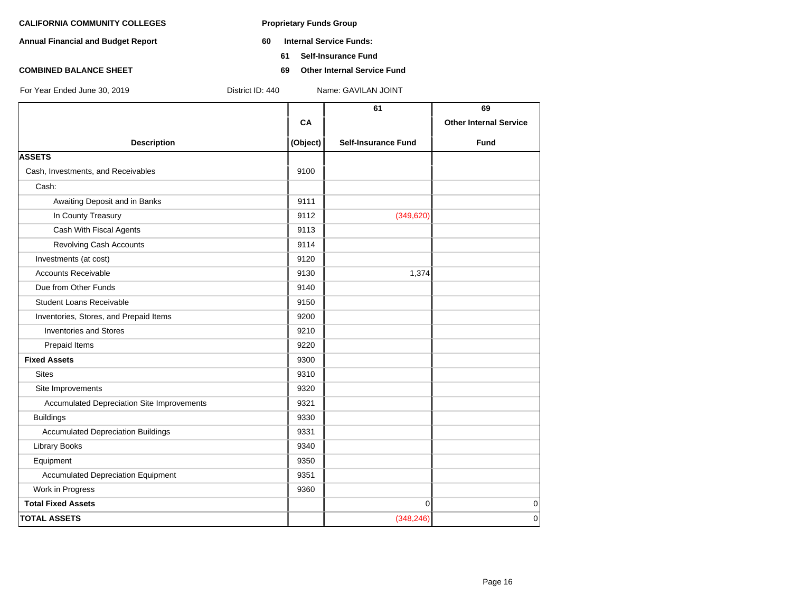- **Annual Financial and Budget Report 60 Internal Service Funds:**
	- **61 Self-Insurance Fund**
- **COMBINED BALANCE SHEET 69 Other Internal Service Fund**

| For Year Ended June 30, 2019 |  |  |  |
|------------------------------|--|--|--|

**61 69 CA Other Internal Service** For Year Ended June 30, 2019 District ID: 440 Name: GAVILAN JOINT

| <b>Description</b>                         | (Object) | <b>Self-Insurance Fund</b> | <b>Fund</b> |
|--------------------------------------------|----------|----------------------------|-------------|
| <b>ASSETS</b>                              |          |                            |             |
| Cash, Investments, and Receivables         | 9100     |                            |             |
| Cash:                                      |          |                            |             |
| Awaiting Deposit and in Banks              | 9111     |                            |             |
| In County Treasury                         | 9112     | (349, 620)                 |             |
| Cash With Fiscal Agents                    | 9113     |                            |             |
| Revolving Cash Accounts                    | 9114     |                            |             |
| Investments (at cost)                      | 9120     |                            |             |
| <b>Accounts Receivable</b>                 | 9130     | 1,374                      |             |
| Due from Other Funds                       | 9140     |                            |             |
| <b>Student Loans Receivable</b>            | 9150     |                            |             |
| Inventories, Stores, and Prepaid Items     | 9200     |                            |             |
| <b>Inventories and Stores</b>              | 9210     |                            |             |
| Prepaid Items                              | 9220     |                            |             |
| <b>Fixed Assets</b>                        | 9300     |                            |             |
| <b>Sites</b>                               | 9310     |                            |             |
| Site Improvements                          | 9320     |                            |             |
| Accumulated Depreciation Site Improvements | 9321     |                            |             |
| <b>Buildings</b>                           | 9330     |                            |             |
| <b>Accumulated Depreciation Buildings</b>  | 9331     |                            |             |
| <b>Library Books</b>                       | 9340     |                            |             |
| Equipment                                  | 9350     |                            |             |
| <b>Accumulated Depreciation Equipment</b>  | 9351     |                            |             |
| Work in Progress                           | 9360     |                            |             |
| <b>Total Fixed Assets</b>                  |          | $\mathbf{0}$               | 0           |
| <b>TOTAL ASSETS</b>                        |          | (348, 246)                 | $\mathbf 0$ |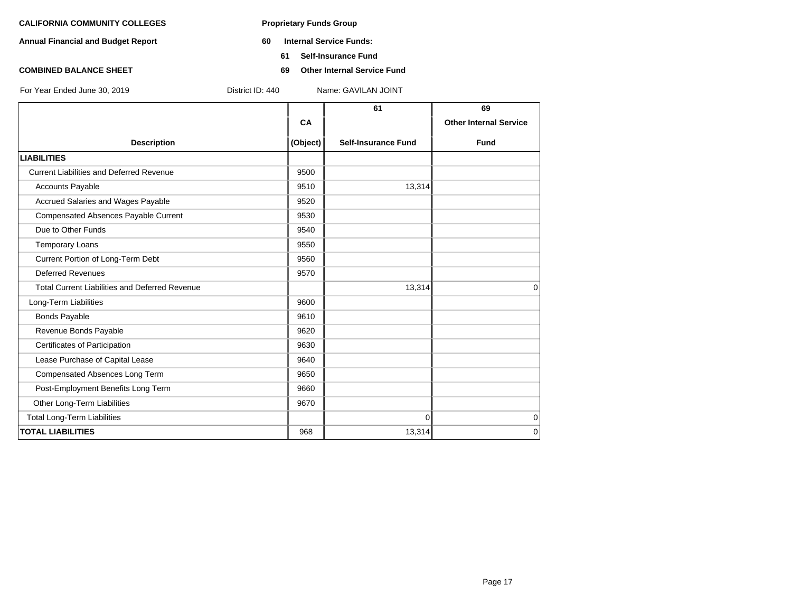- **Annual Financial and Budget Report 60 Internal Service Funds:**
	- **61 Self-Insurance Fund**
- **COMBINED BALANCE SHEET 69 Other Internal Service Fund**

|                                                       |          | 61                         | 69                            |
|-------------------------------------------------------|----------|----------------------------|-------------------------------|
|                                                       | CA       |                            | <b>Other Internal Service</b> |
| <b>Description</b>                                    | (Object) | <b>Self-Insurance Fund</b> | <b>Fund</b>                   |
| <b>LIABILITIES</b>                                    |          |                            |                               |
| <b>Current Liabilities and Deferred Revenue</b>       | 9500     |                            |                               |
| <b>Accounts Payable</b>                               | 9510     | 13,314                     |                               |
| Accrued Salaries and Wages Payable                    | 9520     |                            |                               |
| <b>Compensated Absences Payable Current</b>           | 9530     |                            |                               |
| Due to Other Funds                                    | 9540     |                            |                               |
| <b>Temporary Loans</b>                                | 9550     |                            |                               |
| Current Portion of Long-Term Debt                     | 9560     |                            |                               |
| <b>Deferred Revenues</b>                              | 9570     |                            |                               |
| <b>Total Current Liabilities and Deferred Revenue</b> |          | 13,314                     | $\Omega$                      |
| Long-Term Liabilities                                 | 9600     |                            |                               |
| <b>Bonds Payable</b>                                  | 9610     |                            |                               |
| Revenue Bonds Payable                                 | 9620     |                            |                               |
| Certificates of Participation                         | 9630     |                            |                               |
| Lease Purchase of Capital Lease                       | 9640     |                            |                               |
| Compensated Absences Long Term                        | 9650     |                            |                               |
| Post-Employment Benefits Long Term                    | 9660     |                            |                               |
| Other Long-Term Liabilities                           | 9670     |                            |                               |
| <b>Total Long-Term Liabilities</b>                    |          | $\Omega$                   | $\mathbf 0$                   |
| <b>TOTAL LIABILITIES</b>                              | 968      | 13,314                     | $\Omega$                      |
|                                                       |          |                            |                               |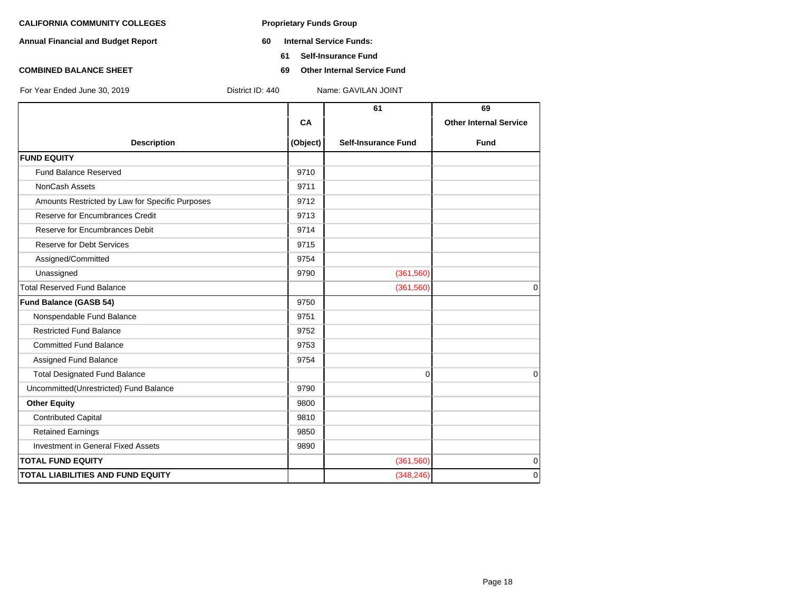- **Annual Financial and Budget Report 60 Internal Service Funds:**
	- **61 Self-Insurance Fund**
- **COMBINED BALANCE SHEET 69 Other Internal Service Fund**

|                                                 |          | 61                         | 69                            |
|-------------------------------------------------|----------|----------------------------|-------------------------------|
|                                                 | CA       |                            | <b>Other Internal Service</b> |
| <b>Description</b>                              | (Object) | <b>Self-Insurance Fund</b> | <b>Fund</b>                   |
| <b>FUND EQUITY</b>                              |          |                            |                               |
| <b>Fund Balance Reserved</b>                    | 9710     |                            |                               |
| NonCash Assets                                  | 9711     |                            |                               |
| Amounts Restricted by Law for Specific Purposes | 9712     |                            |                               |
| Reserve for Encumbrances Credit                 | 9713     |                            |                               |
| Reserve for Encumbrances Debit                  | 9714     |                            |                               |
| <b>Reserve for Debt Services</b>                | 9715     |                            |                               |
| Assigned/Committed                              | 9754     |                            |                               |
| Unassigned                                      | 9790     | (361, 560)                 |                               |
| <b>Total Reserved Fund Balance</b>              |          | (361,560)                  | $\mathbf 0$                   |
| <b>Fund Balance (GASB 54)</b>                   | 9750     |                            |                               |
| Nonspendable Fund Balance                       | 9751     |                            |                               |
| <b>Restricted Fund Balance</b>                  | 9752     |                            |                               |
| <b>Committed Fund Balance</b>                   | 9753     |                            |                               |
| Assigned Fund Balance                           | 9754     |                            |                               |
| <b>Total Designated Fund Balance</b>            |          | 0                          | $\Omega$                      |
| Uncommitted(Unrestricted) Fund Balance          | 9790     |                            |                               |
| <b>Other Equity</b>                             | 9800     |                            |                               |
| <b>Contributed Capital</b>                      | 9810     |                            |                               |
| <b>Retained Earnings</b>                        | 9850     |                            |                               |
| <b>Investment in General Fixed Assets</b>       | 9890     |                            |                               |
| <b>TOTAL FUND EQUITY</b>                        |          | (361, 560)                 | 0                             |
| TOTAL LIABILITIES AND FUND EQUITY               |          | (348, 246)                 | $\mathbf 0$                   |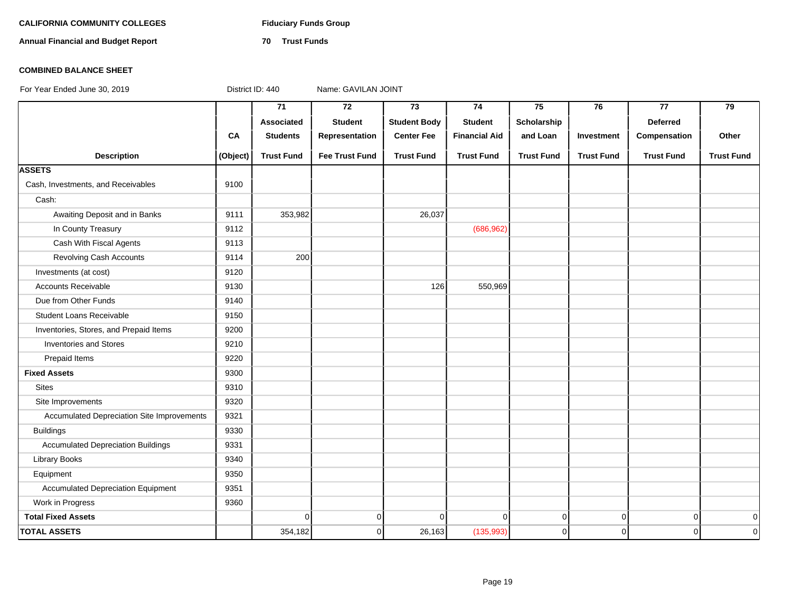### **CALIFORNIA COMMUNITY COLLEGES Fiduciary Funds Group**

**Annual Financial and Budget Report 70 Trust Funds**

### **COMBINED BALANCE SHEET**

|                                            |          | $\overline{71}$   | $\overline{72}$       | 73                  | 74                   | 75                | 76                | 77                | 79                |
|--------------------------------------------|----------|-------------------|-----------------------|---------------------|----------------------|-------------------|-------------------|-------------------|-------------------|
|                                            |          | Associated        | <b>Student</b>        | <b>Student Body</b> | <b>Student</b>       | Scholarship       |                   | <b>Deferred</b>   |                   |
|                                            | CA       | <b>Students</b>   | Representation        | <b>Center Fee</b>   | <b>Financial Aid</b> | and Loan          | Investment        | Compensation      | Other             |
| <b>Description</b>                         | (Object) | <b>Trust Fund</b> | <b>Fee Trust Fund</b> | <b>Trust Fund</b>   | <b>Trust Fund</b>    | <b>Trust Fund</b> | <b>Trust Fund</b> | <b>Trust Fund</b> | <b>Trust Fund</b> |
| <b>ASSETS</b>                              |          |                   |                       |                     |                      |                   |                   |                   |                   |
| Cash, Investments, and Receivables         | 9100     |                   |                       |                     |                      |                   |                   |                   |                   |
| Cash:                                      |          |                   |                       |                     |                      |                   |                   |                   |                   |
| Awaiting Deposit and in Banks              | 9111     | 353,982           |                       | 26,037              |                      |                   |                   |                   |                   |
| In County Treasury                         | 9112     |                   |                       |                     | (686, 962)           |                   |                   |                   |                   |
| Cash With Fiscal Agents                    | 9113     |                   |                       |                     |                      |                   |                   |                   |                   |
| Revolving Cash Accounts                    | 9114     | 200               |                       |                     |                      |                   |                   |                   |                   |
| Investments (at cost)                      | 9120     |                   |                       |                     |                      |                   |                   |                   |                   |
| <b>Accounts Receivable</b>                 | 9130     |                   |                       | 126                 | 550,969              |                   |                   |                   |                   |
| Due from Other Funds                       | 9140     |                   |                       |                     |                      |                   |                   |                   |                   |
| <b>Student Loans Receivable</b>            | 9150     |                   |                       |                     |                      |                   |                   |                   |                   |
| Inventories, Stores, and Prepaid Items     | 9200     |                   |                       |                     |                      |                   |                   |                   |                   |
| <b>Inventories and Stores</b>              | 9210     |                   |                       |                     |                      |                   |                   |                   |                   |
| Prepaid Items                              | 9220     |                   |                       |                     |                      |                   |                   |                   |                   |
| <b>Fixed Assets</b>                        | 9300     |                   |                       |                     |                      |                   |                   |                   |                   |
| <b>Sites</b>                               | 9310     |                   |                       |                     |                      |                   |                   |                   |                   |
| Site Improvements                          | 9320     |                   |                       |                     |                      |                   |                   |                   |                   |
| Accumulated Depreciation Site Improvements | 9321     |                   |                       |                     |                      |                   |                   |                   |                   |
| <b>Buildings</b>                           | 9330     |                   |                       |                     |                      |                   |                   |                   |                   |
| <b>Accumulated Depreciation Buildings</b>  | 9331     |                   |                       |                     |                      |                   |                   |                   |                   |
| Library Books                              | 9340     |                   |                       |                     |                      |                   |                   |                   |                   |
| Equipment                                  | 9350     |                   |                       |                     |                      |                   |                   |                   |                   |
| <b>Accumulated Depreciation Equipment</b>  | 9351     |                   |                       |                     |                      |                   |                   |                   |                   |
| Work in Progress                           | 9360     |                   |                       |                     |                      |                   |                   |                   |                   |
| <b>Total Fixed Assets</b>                  |          | $\mathbf 0$       | $\overline{0}$        | $\Omega$            | $\Omega$             | $\overline{0}$    | $\overline{0}$    | $\overline{0}$    | $\mathbf 0$       |
| <b>TOTAL ASSETS</b>                        |          | 354,182           | $\mathbf 0$           | 26,163              | (135, 993)           | $\overline{0}$    | $\overline{0}$    | $\overline{0}$    | $\mathbf 0$       |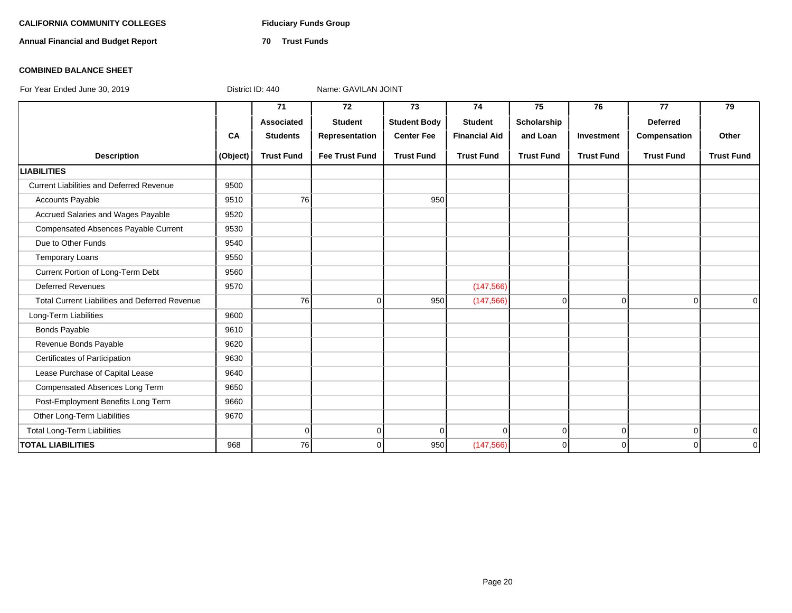### **CALIFORNIA COMMUNITY COLLEGES Fiduciary Funds Group**

**Annual Financial and Budget Report 70 Trust Funds**

### **COMBINED BALANCE SHEET**

|                                                       |          | 71                | 72                    | 73                  | 74                   | 75                | 76                | 77                | 79                |
|-------------------------------------------------------|----------|-------------------|-----------------------|---------------------|----------------------|-------------------|-------------------|-------------------|-------------------|
|                                                       |          | Associated        | <b>Student</b>        | <b>Student Body</b> | <b>Student</b>       | Scholarship       |                   | <b>Deferred</b>   |                   |
|                                                       | CA       | <b>Students</b>   | Representation        | <b>Center Fee</b>   | <b>Financial Aid</b> | and Loan          | Investment        | Compensation      | Other             |
| <b>Description</b>                                    | (Object) | <b>Trust Fund</b> | <b>Fee Trust Fund</b> | <b>Trust Fund</b>   | <b>Trust Fund</b>    | <b>Trust Fund</b> | <b>Trust Fund</b> | <b>Trust Fund</b> | <b>Trust Fund</b> |
| <b>LIABILITIES</b>                                    |          |                   |                       |                     |                      |                   |                   |                   |                   |
| <b>Current Liabilities and Deferred Revenue</b>       | 9500     |                   |                       |                     |                      |                   |                   |                   |                   |
| <b>Accounts Payable</b>                               | 9510     | 76                |                       | 950                 |                      |                   |                   |                   |                   |
| Accrued Salaries and Wages Payable                    | 9520     |                   |                       |                     |                      |                   |                   |                   |                   |
| Compensated Absences Payable Current                  | 9530     |                   |                       |                     |                      |                   |                   |                   |                   |
| Due to Other Funds                                    | 9540     |                   |                       |                     |                      |                   |                   |                   |                   |
| <b>Temporary Loans</b>                                | 9550     |                   |                       |                     |                      |                   |                   |                   |                   |
| Current Portion of Long-Term Debt                     | 9560     |                   |                       |                     |                      |                   |                   |                   |                   |
| <b>Deferred Revenues</b>                              | 9570     |                   |                       |                     | (147, 566)           |                   |                   |                   |                   |
| <b>Total Current Liabilities and Deferred Revenue</b> |          | 76                | $\Omega$              | 950                 | (147, 566)           | $\overline{0}$    | $\Omega$          | $\Omega$          | $\Omega$          |
| Long-Term Liabilities                                 | 9600     |                   |                       |                     |                      |                   |                   |                   |                   |
| <b>Bonds Payable</b>                                  | 9610     |                   |                       |                     |                      |                   |                   |                   |                   |
| Revenue Bonds Payable                                 | 9620     |                   |                       |                     |                      |                   |                   |                   |                   |
| Certificates of Participation                         | 9630     |                   |                       |                     |                      |                   |                   |                   |                   |
| Lease Purchase of Capital Lease                       | 9640     |                   |                       |                     |                      |                   |                   |                   |                   |
| Compensated Absences Long Term                        | 9650     |                   |                       |                     |                      |                   |                   |                   |                   |
| Post-Employment Benefits Long Term                    | 9660     |                   |                       |                     |                      |                   |                   |                   |                   |
| Other Long-Term Liabilities                           | 9670     |                   |                       |                     |                      |                   |                   |                   |                   |
| <b>Total Long-Term Liabilities</b>                    |          | $\overline{0}$    | $\overline{0}$        | $\Omega$            | $\Omega$             | $\overline{0}$    | $\overline{0}$    | $\overline{0}$    | $\overline{0}$    |
| <b>TOTAL LIABILITIES</b>                              | 968      | 76                | $\Omega$              | 950                 | (147, 566)           | $\overline{0}$    | $\Omega$          | $\Omega$          | $\overline{0}$    |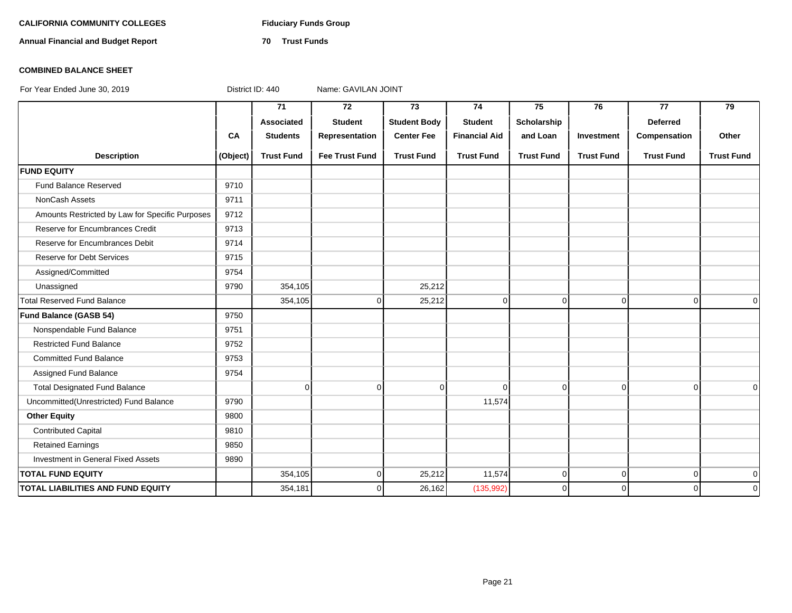### **CALIFORNIA COMMUNITY COLLEGES Fiduciary Funds Group**

**Annual Financial and Budget Report 70 Trust Funds**

### **COMBINED BALANCE SHEET**

|                                                 |           | 71                | 72                    | 73                  | 74                   | 75                | 76                | 77                | 79                |
|-------------------------------------------------|-----------|-------------------|-----------------------|---------------------|----------------------|-------------------|-------------------|-------------------|-------------------|
|                                                 |           | Associated        | <b>Student</b>        | <b>Student Body</b> | <b>Student</b>       | Scholarship       |                   | <b>Deferred</b>   |                   |
|                                                 | <b>CA</b> | <b>Students</b>   | Representation        | <b>Center Fee</b>   | <b>Financial Aid</b> | and Loan          | Investment        | Compensation      | Other             |
| <b>Description</b>                              | (Object)  | <b>Trust Fund</b> | <b>Fee Trust Fund</b> | <b>Trust Fund</b>   | <b>Trust Fund</b>    | <b>Trust Fund</b> | <b>Trust Fund</b> | <b>Trust Fund</b> | <b>Trust Fund</b> |
| <b>FUND EQUITY</b>                              |           |                   |                       |                     |                      |                   |                   |                   |                   |
| Fund Balance Reserved                           | 9710      |                   |                       |                     |                      |                   |                   |                   |                   |
| NonCash Assets                                  | 9711      |                   |                       |                     |                      |                   |                   |                   |                   |
| Amounts Restricted by Law for Specific Purposes | 9712      |                   |                       |                     |                      |                   |                   |                   |                   |
| Reserve for Encumbrances Credit                 | 9713      |                   |                       |                     |                      |                   |                   |                   |                   |
| Reserve for Encumbrances Debit                  | 9714      |                   |                       |                     |                      |                   |                   |                   |                   |
| <b>Reserve for Debt Services</b>                | 9715      |                   |                       |                     |                      |                   |                   |                   |                   |
| Assigned/Committed                              | 9754      |                   |                       |                     |                      |                   |                   |                   |                   |
| Unassigned                                      | 9790      | 354,105           |                       | 25,212              |                      |                   |                   |                   |                   |
| <b>Total Reserved Fund Balance</b>              |           | 354,105           | $\mathbf 0$           | 25,212              | 0                    | 0                 | $\overline{0}$    | $\overline{0}$    | $\mathbf 0$       |
| Fund Balance (GASB 54)                          | 9750      |                   |                       |                     |                      |                   |                   |                   |                   |
| Nonspendable Fund Balance                       | 9751      |                   |                       |                     |                      |                   |                   |                   |                   |
| <b>Restricted Fund Balance</b>                  | 9752      |                   |                       |                     |                      |                   |                   |                   |                   |
| <b>Committed Fund Balance</b>                   | 9753      |                   |                       |                     |                      |                   |                   |                   |                   |
| Assigned Fund Balance                           | 9754      |                   |                       |                     |                      |                   |                   |                   |                   |
| <b>Total Designated Fund Balance</b>            |           | $\mathbf 0$       | 0                     | $\Omega$            | $\Omega$             | $\Omega$          | $\overline{0}$    | $\Omega$          | $\Omega$          |
| Uncommitted(Unrestricted) Fund Balance          | 9790      |                   |                       |                     | 11,574               |                   |                   |                   |                   |
| <b>Other Equity</b>                             | 9800      |                   |                       |                     |                      |                   |                   |                   |                   |
| <b>Contributed Capital</b>                      | 9810      |                   |                       |                     |                      |                   |                   |                   |                   |
| <b>Retained Earnings</b>                        | 9850      |                   |                       |                     |                      |                   |                   |                   |                   |
| Investment in General Fixed Assets              | 9890      |                   |                       |                     |                      |                   |                   |                   |                   |
| <b>TOTAL FUND EQUITY</b>                        |           | 354,105           | $\overline{0}$        | 25,212              | 11,574               | 0                 | $\overline{0}$    | $\Omega$          | $\mathbf 0$       |
| <b>TOTAL LIABILITIES AND FUND EQUITY</b>        |           | 354,181           | 0                     | 26,162              | (135, 992)           | $\Omega$          | 0                 | $\Omega$          | $\mathbf 0$       |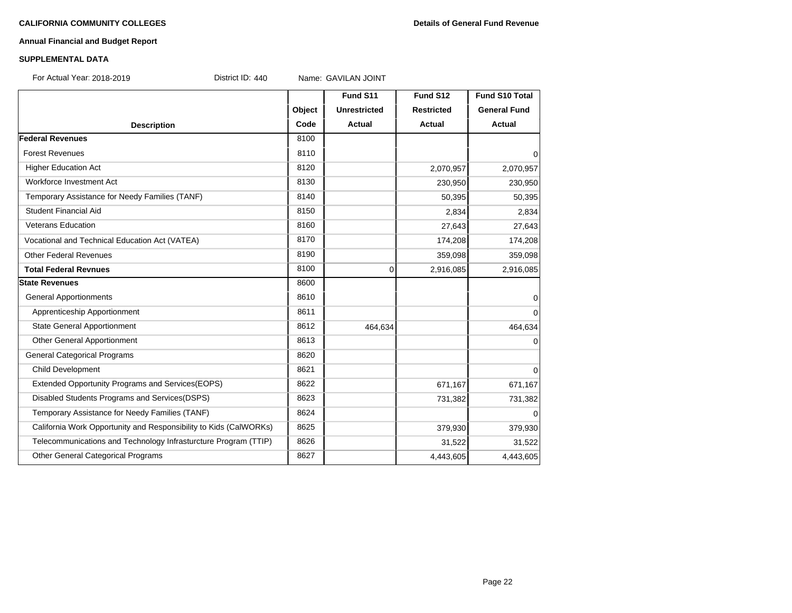### **Annual Financial and Budget Report**

### **SUPPLEMENTAL DATA**

For Actual Year: 2018-2019 District ID: 440 Name: GAVILAN JOINT

**Fund S11 Fund S12 Fund S10 Total Object Unrestricted Restricted General Fund Description Code Actual Actual Actual Federal Revenues** 8100 Forest Revenues and the set of the set of the set of the set of the set of the set of the set of the set of the set of the set of the set of the set of the set of the set of the set of the set of the set of the set of the Higher Education Act 2,070,957 2,070,957 2,070,957 Workforce Investment Act 230,950 230,950 230,950 230,950 230,950 230,950 230,950 230,950 230,950 230,950 230,950 230,950 230,950 230,950 230,950 230,950 230,950 230,950 230,950 230,950 230,950 230,950 230,950 230,950 230,9 Temporary Assistance for Needy Families (TANF) 8140 50,395 50,395 50,395 Student Financial Aid 2.834 2.834 Veterans Education 27,643 27,643 27,643 Vocational and Technical Education Act (VATEA) 174,208 18170 18170 174,208 174,208 174,208 Other Federal Revenues 8190 359,098 359,098 359,098 359,098 **Total Federal Revnues** 2,916,085 2,916,085 2,916,085 2,916,085 2,916,085 2,916,085 2,916,085 2,916,085 2,916,085 2,916,085 2,916,085 2,916,085 2,916,085 2,916,085 2,916,085 2,916,085 2,916,085 2,916,085 2,916,085 2,916,08 **State Revenues** 8600 General Apportionments and the set of the set of the set of the set of the set of the set of the set of the set o Apprenticeship Apportionment and the set of the set of the set of the set of the set of the set of the set of the set of the set of the set of the set of the set of the set of the set of the set of the set of the set of th State General Apportionment 1990 1991 1991 1991 1991 1992 1994 1994 1995 1996 1997 1998 1999 1999 1999 1999 19 Other General Apportionment 8613 0 General Categorical Programs 8620 Child Development 8621 0 Extended Opportunity Programs and Services(EOPS) 8622 671,167 671,167 671,167 671,167 Disabled Students Programs and Services(DSPS) 8623 8623 731,382 731,382 731,382 Temporary Assistance for Needy Families (TANF) 8624 | 8624 | CONSERVERTED ASSISTANCE OF THE OCCUPATION OF THE O California Work Opportunity and Responsibility to Kids (CalWORKs) 8625 379,930 379,930 379,930 Telecommunications and Technology Infrasturcture Program (TTIP) 8626 31,522 31,522 31,522 Other General Categorical Programs **8627** 8627 **8627** 4,443,605 4,443,605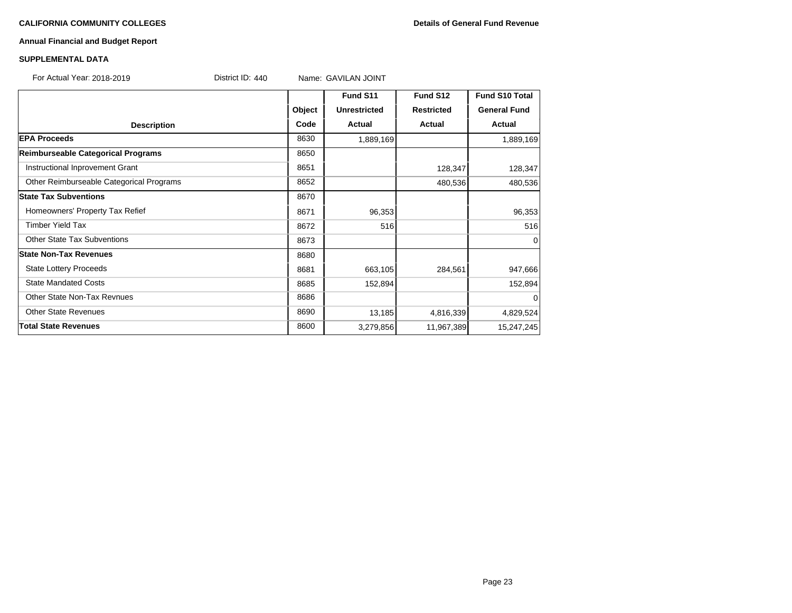### **CALIFORNIA COMMUNITY COLLEGES Details of General Fund Revenue**

### **Annual Financial and Budget Report**

| <b>SUPPLEMENTAL DATA</b>                 |                  |                     |                   |                     |  |
|------------------------------------------|------------------|---------------------|-------------------|---------------------|--|
| For Actual Year: 2018-2019               | District ID: 440 | Name: GAVILAN JOINT |                   |                     |  |
|                                          |                  | Fund S11            | Fund S12          | Fund S10 Total      |  |
|                                          | Object           | <b>Unrestricted</b> | <b>Restricted</b> | <b>General Fund</b> |  |
| <b>Description</b>                       | Code             | Actual              | Actual            | <b>Actual</b>       |  |
| <b>EPA Proceeds</b>                      | 8630             | 1,889,169           |                   | 1,889,169           |  |
| Reimburseable Categorical Programs       | 8650             |                     |                   |                     |  |
| Instructional Inprovement Grant          | 8651             |                     | 128,347           | 128,347             |  |
| Other Reimburseable Categorical Programs | 8652             |                     | 480,536           | 480,536             |  |
| <b>State Tax Subventions</b>             | 8670             |                     |                   |                     |  |
| Homeowners' Property Tax Refief          | 8671             | 96,353              |                   | 96,353              |  |
| <b>Timber Yield Tax</b>                  | 8672             | 516                 |                   | 516                 |  |
| <b>Other State Tax Subventions</b>       | 8673             |                     |                   | $\Omega$            |  |
| <b>State Non-Tax Revenues</b>            | 8680             |                     |                   |                     |  |
| <b>State Lottery Proceeds</b>            | 8681             | 663,105             | 284,561           | 947,666             |  |
| <b>State Mandated Costs</b>              | 8685             | 152,894             |                   | 152,894             |  |
| <b>Other State Non-Tax Revnues</b>       | 8686             |                     |                   | 0                   |  |
| <b>Other State Revenues</b>              | 8690             | 13,185              | 4,816,339         | 4,829,524           |  |
| <b>Total State Revenues</b>              | 8600             | 3,279,856           | 11,967,389        | 15,247,245          |  |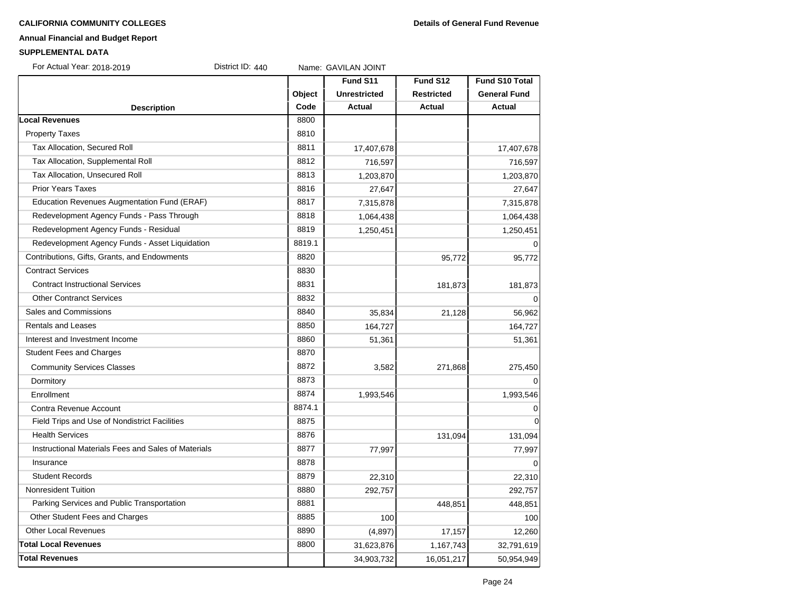### **CALIFORNIA COMMUNITY COLLEGES Details of General Fund Revenue**

### **Annual Financial and Budget Report**

### **SUPPLEMENTAL DATA**

For Actual Year: 2018-2019 District ID: 440 Name: GAVILAN JOINT

|                                                     |        | Fund S11            | Fund S12          | Fund S10 Total      |
|-----------------------------------------------------|--------|---------------------|-------------------|---------------------|
|                                                     | Object | <b>Unrestricted</b> | <b>Restricted</b> | <b>General Fund</b> |
| <b>Description</b>                                  | Code   | <b>Actual</b>       | Actual            | <b>Actual</b>       |
| <b>Local Revenues</b>                               | 8800   |                     |                   |                     |
| <b>Property Taxes</b>                               | 8810   |                     |                   |                     |
| Tax Allocation, Secured Roll                        | 8811   | 17,407,678          |                   | 17,407,678          |
| Tax Allocation, Supplemental Roll                   | 8812   | 716,597             |                   | 716,597             |
| Tax Allocation, Unsecured Roll                      | 8813   | 1,203,870           |                   | 1,203,870           |
| <b>Prior Years Taxes</b>                            | 8816   | 27,647              |                   | 27,647              |
| Education Revenues Augmentation Fund (ERAF)         | 8817   | 7,315,878           |                   | 7,315,878           |
| Redevelopment Agency Funds - Pass Through           | 8818   | 1,064,438           |                   | 1,064,438           |
| Redevelopment Agency Funds - Residual               | 8819   | 1,250,451           |                   | 1,250,451           |
| Redevelopment Agency Funds - Asset Liquidation      | 8819.1 |                     |                   |                     |
| Contributions, Gifts, Grants, and Endowments        | 8820   |                     | 95,772            | 95,772              |
| <b>Contract Services</b>                            | 8830   |                     |                   |                     |
| <b>Contract Instructional Services</b>              | 8831   |                     | 181,873           | 181,873             |
| <b>Other Contranct Services</b>                     | 8832   |                     |                   | $\mathbf 0$         |
| Sales and Commissions                               | 8840   | 35,834              | 21,128            | 56,962              |
| <b>Rentals and Leases</b>                           | 8850   | 164,727             |                   | 164,727             |
| Interest and Investment Income                      | 8860   | 51,361              |                   | 51,361              |
| <b>Student Fees and Charges</b>                     | 8870   |                     |                   |                     |
| <b>Community Services Classes</b>                   | 8872   | 3,582               | 271,868           | 275,450             |
| Dormitory                                           | 8873   |                     |                   | $\Omega$            |
| Enrollment                                          | 8874   | 1,993,546           |                   | 1,993,546           |
| Contra Revenue Account                              | 8874.1 |                     |                   | $\Omega$            |
| Field Trips and Use of Nondistrict Facilities       | 8875   |                     |                   | $\overline{0}$      |
| <b>Health Services</b>                              | 8876   |                     | 131,094           | 131,094             |
| Instructional Materials Fees and Sales of Materials | 8877   | 77,997              |                   | 77,997              |
| Insurance                                           | 8878   |                     |                   | $\Omega$            |
| <b>Student Records</b>                              | 8879   | 22,310              |                   | 22,310              |
| <b>Nonresident Tuition</b>                          | 8880   | 292,757             |                   | 292,757             |
| Parking Services and Public Transportation          | 8881   |                     | 448,851           | 448,851             |
| Other Student Fees and Charges                      | 8885   | 100                 |                   | 100                 |
| <b>Other Local Revenues</b>                         | 8890   | (4, 897)            | 17,157            | 12,260              |
| <b>Total Local Revenues</b>                         | 8800   | 31,623,876          | 1,167,743         | 32,791,619          |
| <b>Total Revenues</b>                               |        | 34,903,732          | 16,051,217        | 50,954,949          |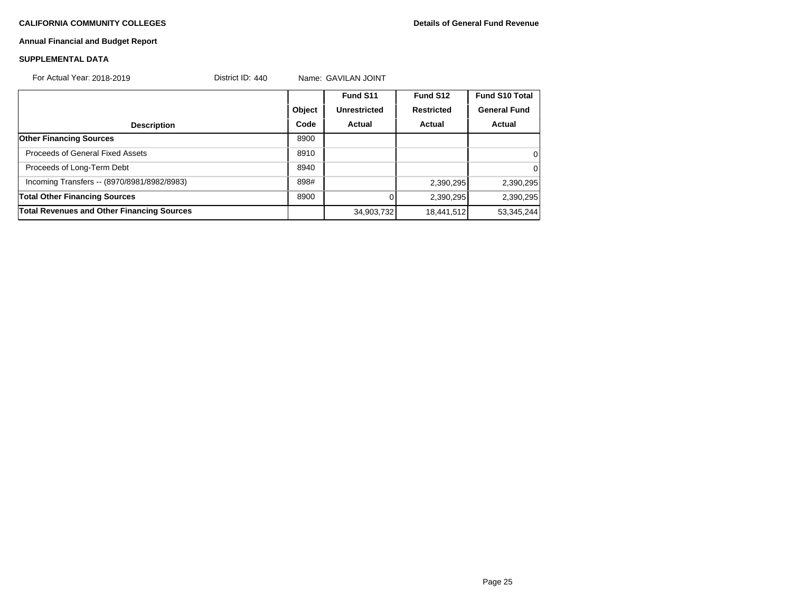### **CALIFORNIA COMMUNITY COLLEGES Details of General Fund Revenue**

### **Annual Financial and Budget Report**

### **SUPPLEMENTAL DATA**

| For Actual Year: 2018-2019                        | District ID: $440$ | Name: GAVILAN JOINT |              |                   |                       |
|---------------------------------------------------|--------------------|---------------------|--------------|-------------------|-----------------------|
|                                                   |                    |                     | Fund S11     | Fund S12          | <b>Fund S10 Total</b> |
|                                                   |                    | Object              | Unrestricted | <b>Restricted</b> | <b>General Fund</b>   |
| <b>Description</b>                                |                    | Code                | Actual       | Actual            | Actual                |
| <b>Other Financing Sources</b>                    |                    | 8900                |              |                   |                       |
| Proceeds of General Fixed Assets                  |                    | 8910                |              |                   | 0                     |
| Proceeds of Long-Term Debt                        |                    | 8940                |              |                   | $\Omega$              |
| Incoming Transfers -- (8970/8981/8982/8983)       |                    | 898#                |              | 2,390,295         | 2,390,295             |
| <b>Total Other Financing Sources</b>              |                    | 8900                |              | 2,390,295         | 2,390,295             |
| <b>Total Revenues and Other Financing Sources</b> |                    |                     | 34,903,732   | 18,441,512        | 53,345,244            |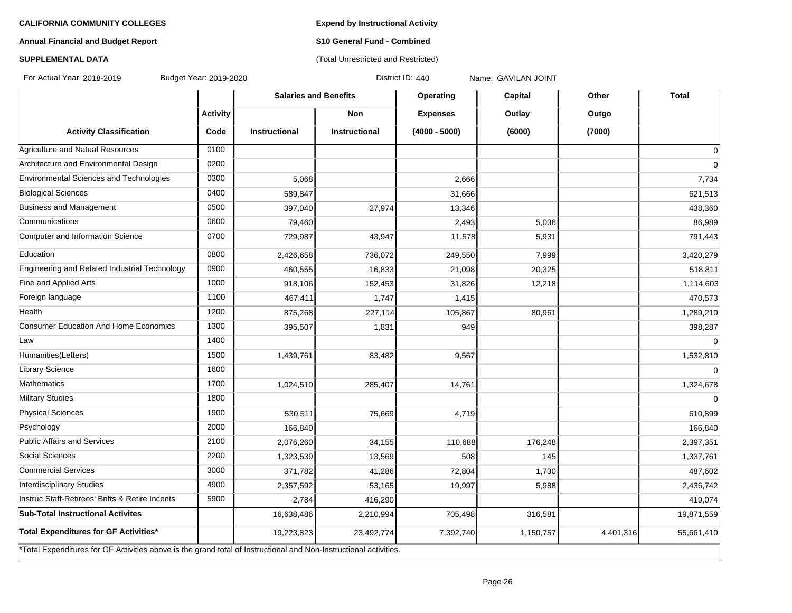**Expend by Instructional Activity**

### **Annual Financial and Budget Report**

# **S10 General Fund - Combined** (Total Unrestricted and Restricted)

### **SUPPLEMENTAL DATA**

For Actual Year: 2018-2019 Budget Year: 2019-2020 District ID: 440 Name: GAVILAN JOINT

|                                                                                                                   |                 | <b>Salaries and Benefits</b> |                      | Operating       | Capital   | Other     | <b>Total</b>   |
|-------------------------------------------------------------------------------------------------------------------|-----------------|------------------------------|----------------------|-----------------|-----------|-----------|----------------|
|                                                                                                                   | <b>Activity</b> |                              | <b>Non</b>           | <b>Expenses</b> | Outlay    | Outgo     |                |
| <b>Activity Classification</b>                                                                                    | Code            | <b>Instructional</b>         | <b>Instructional</b> | $(4000 - 5000)$ | (6000)    | (7000)    |                |
| Agriculture and Natual Resources                                                                                  | 0100            |                              |                      |                 |           |           | $\Omega$       |
| Architecture and Environmental Design                                                                             | 0200            |                              |                      |                 |           |           | $\overline{0}$ |
| Environmental Sciences and Technologies                                                                           | 0300            | 5,068                        |                      | 2,666           |           |           | 7,734          |
| <b>Biological Sciences</b>                                                                                        | 0400            | 589,847                      |                      | 31,666          |           |           | 621,513        |
| Business and Management                                                                                           | 0500            | 397,040                      | 27,974               | 13,346          |           |           | 438,360        |
| lCommunications                                                                                                   | 0600            | 79,460                       |                      | 2,493           | 5,036     |           | 86,989         |
| Computer and Information Science                                                                                  | 0700            | 729,987                      | 43,947               | 11,578          | 5,931     |           | 791,443        |
| Education                                                                                                         | 0800            | 2,426,658                    | 736,072              | 249,550         | 7,999     |           | 3,420,279      |
| Engineering and Related Industrial Technology                                                                     | 0900            | 460,555                      | 16,833               | 21,098          | 20,325    |           | 518,811        |
| Fine and Applied Arts                                                                                             | 1000            | 918,106                      | 152,453              | 31,826          | 12,218    |           | 1,114,603      |
| Foreign language                                                                                                  | 1100            | 467,411                      | 1,747                | 1,415           |           |           | 470,573        |
| Health                                                                                                            | 1200            | 875,268                      | 227,114              | 105,867         | 80,961    |           | 1,289,210      |
| <b>Consumer Education And Home Economics</b>                                                                      | 1300            | 395,507                      | 1,831                | 949             |           |           | 398,287        |
| Law                                                                                                               | 1400            |                              |                      |                 |           |           | $\Omega$       |
| Humanities(Letters)                                                                                               | 1500            | 1,439,761                    | 83,482               | 9,567           |           |           | 1,532,810      |
| Library Science                                                                                                   | 1600            |                              |                      |                 |           |           | $\Omega$       |
| Mathematics                                                                                                       | 1700            | 1,024,510                    | 285,407              | 14,761          |           |           | 1,324,678      |
| Military Studies                                                                                                  | 1800            |                              |                      |                 |           |           | $\Omega$       |
| <b>Physical Sciences</b>                                                                                          | 1900            | 530,511                      | 75,669               | 4,719           |           |           | 610,899        |
| Psychology                                                                                                        | 2000            | 166,840                      |                      |                 |           |           | 166,840        |
| Public Affairs and Services                                                                                       | 2100            | 2,076,260                    | 34,155               | 110,688         | 176,248   |           | 2,397,351      |
| Social Sciences                                                                                                   | 2200            | 1,323,539                    | 13,569               | 508             | 145       |           | 1,337,761      |
| Commercial Services                                                                                               | 3000            | 371,782                      | 41,286               | 72,804          | 1,730     |           | 487,602        |
| Interdisciplinary Studies                                                                                         | 4900            | 2,357,592                    | 53,165               | 19,997          | 5,988     |           | 2,436,742      |
| Instruc Staff-Retirees' Bnfts & Retire Incents                                                                    | 5900            | 2,784                        | 416,290              |                 |           |           | 419,074        |
| Sub-Total Instructional Activites                                                                                 |                 | 16,638,486                   | 2,210,994            | 705,498         | 316,581   |           | 19,871,559     |
| Total Expenditures for GF Activities*                                                                             |                 | 19,223,823                   | 23,492,774           | 7,392,740       | 1,150,757 | 4,401,316 | 55,661,410     |
| *Total Expenditures for GF Activities above is the grand total of Instructional and Non-Instructional activities. |                 |                              |                      |                 |           |           |                |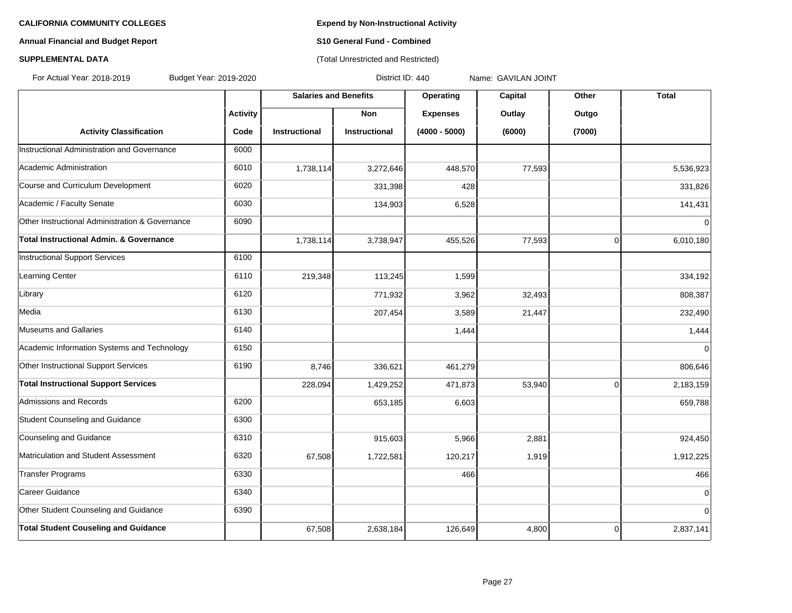### **Annual Financial and Budget Report S10 General Fund - Combined**

### **SUPPLEMENTAL DATA CONSUMPTER ACCOUNT ACCOUNT ACCOUNT ACCOUNT ACCOUNT ACCOUNT ACCOUNT ACCOUNT ACCOUNT ACCOUNT ACCOUNT ACCOUNT ACCOUNT ACCOUNT ACCOUNT ACCOUNT ACCOUNT ACCOUNT ACCOUNT ACCOUNT ACCOUNT ACCOUNT ACCOUNT ACCOUN**

For Actual Year: 2018-2019 Budget Year: 2019-2020 District ID: 440 Name: GAVILAN JOINT

|                                                 |                 | <b>Salaries and Benefits</b> |               | Operating       | Capital | Other          | <b>Total</b>   |
|-------------------------------------------------|-----------------|------------------------------|---------------|-----------------|---------|----------------|----------------|
|                                                 | <b>Activity</b> |                              | <b>Non</b>    | <b>Expenses</b> | Outlay  | Outgo          |                |
| <b>Activity Classification</b>                  | Code            | Instructional                | Instructional | $(4000 - 5000)$ | (6000)  | (7000)         |                |
| Instructional Administration and Governance     | 6000            |                              |               |                 |         |                |                |
| Academic Administration                         | 6010            | 1,738,114                    | 3,272,646     | 448,570         | 77,593  |                | 5,536,923      |
| Course and Curriculum Development               | 6020            |                              | 331,398       | 428             |         |                | 331,826        |
| Academic / Faculty Senate                       | 6030            |                              | 134,903       | 6,528           |         |                | 141,431        |
| Other Instructional Administration & Governance | 6090            |                              |               |                 |         |                | $\mathbf 0$    |
| Total Instructional Admin. & Governance         |                 | 1,738,114                    | 3,738,947     | 455,526         | 77,593  | $\overline{0}$ | 6,010,180      |
| Instructional Support Services                  | 6100            |                              |               |                 |         |                |                |
| Learning Center                                 | 6110            | 219,348                      | 113,245       | 1,599           |         |                | 334,192        |
| Library                                         | 6120            |                              | 771,932       | 3,962           | 32,493  |                | 808,387        |
| Media                                           | 6130            |                              | 207,454       | 3,589           | 21,447  |                | 232,490        |
| Museums and Gallaries                           | 6140            |                              |               | 1,444           |         |                | 1,444          |
| Academic Information Systems and Technology     | 6150            |                              |               |                 |         |                | $\Omega$       |
| Other Instructional Support Services            | 6190            | 8,746                        | 336,621       | 461,279         |         |                | 806,646        |
| <b>Total Instructional Support Services</b>     |                 | 228,094                      | 1,429,252     | 471,873         | 53,940  | $\overline{0}$ | 2,183,159      |
| Admissions and Records                          | 6200            |                              | 653,185       | 6,603           |         |                | 659,788        |
| Student Counseling and Guidance                 | 6300            |                              |               |                 |         |                |                |
| Counseling and Guidance                         | 6310            |                              | 915,603       | 5,966           | 2,881   |                | 924,450        |
| Matriculation and Student Assessment            | 6320            | 67,508                       | 1,722,581     | 120,217         | 1,919   |                | 1,912,225      |
| Transfer Programs                               | 6330            |                              |               | 466             |         |                | 466            |
| Career Guidance                                 | 6340            |                              |               |                 |         |                | $\mathbf 0$    |
| Other Student Counseling and Guidance           | 6390            |                              |               |                 |         |                | $\overline{0}$ |
| <b>Total Student Couseling and Guidance</b>     |                 | 67,508                       | 2,638,184     | 126,649         | 4,800   | 0              | 2,837,141      |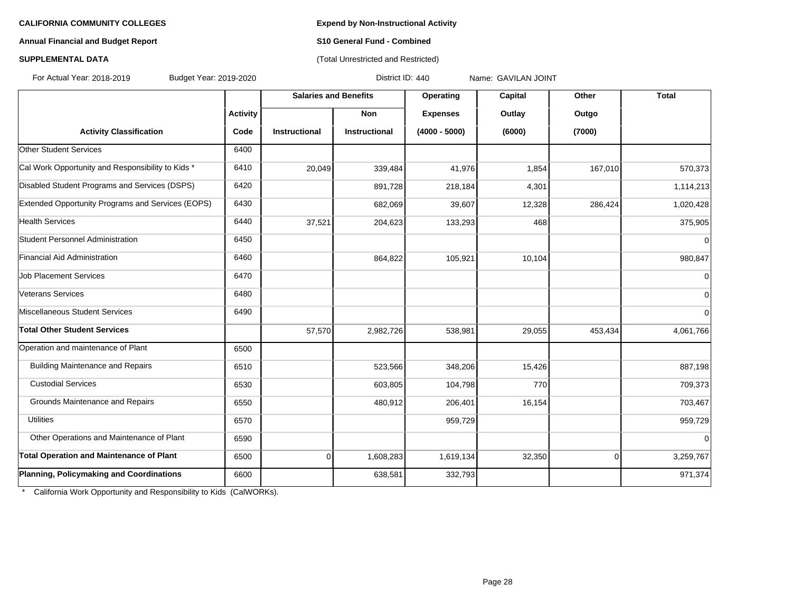### **Annual Financial and Budget Report S10 General Fund - Combined**

### **SUPPLEMENTAL DATA CONSERVATION CONSERVATION** (Total Unrestricted and Restricted)

For Actual Year: 2018-2019 Budget Year: 2019-2020 District ID: 440 Name: GAVILAN JOINT

|                                                   |                 | <b>Salaries and Benefits</b> |                      | Operating<br>Capital | Other  | <b>Total</b> |                |
|---------------------------------------------------|-----------------|------------------------------|----------------------|----------------------|--------|--------------|----------------|
|                                                   | <b>Activity</b> |                              | <b>Non</b>           | <b>Expenses</b>      | Outlay | Outgo        |                |
| <b>Activity Classification</b>                    | Code            | <b>Instructional</b>         | <b>Instructional</b> | $(4000 - 5000)$      | (6000) | (7000)       |                |
| Other Student Services                            | 6400            |                              |                      |                      |        |              |                |
| Cal Work Opportunity and Responsibility to Kids * | 6410            | 20,049                       | 339,484              | 41,976               | 1,854  | 167,010      | 570,373        |
| Disabled Student Programs and Services (DSPS)     | 6420            |                              | 891,728              | 218,184              | 4,301  |              | 1,114,213      |
| Extended Opportunity Programs and Services (EOPS) | 6430            |                              | 682,069              | 39,607               | 12,328 | 286,424      | 1,020,428      |
| <b>Health Services</b>                            | 6440            | 37,521                       | 204,623              | 133,293              | 468    |              | 375,905        |
| Student Personnel Administration                  | 6450            |                              |                      |                      |        |              | $\Omega$       |
| Financial Aid Administration                      | 6460            |                              | 864,822              | 105,921              | 10,104 |              | 980,847        |
| <b>Job Placement Services</b>                     | 6470            |                              |                      |                      |        |              | $\mathbf 0$    |
| Veterans Services                                 | 6480            |                              |                      |                      |        |              | $\mathbf 0$    |
| Miscellaneous Student Services                    | 6490            |                              |                      |                      |        |              | $\overline{0}$ |
| Total Other Student Services                      |                 | 57,570                       | 2,982,726            | 538,981              | 29,055 | 453,434      | 4,061,766      |
| Operation and maintenance of Plant                | 6500            |                              |                      |                      |        |              |                |
| <b>Building Maintenance and Repairs</b>           | 6510            |                              | 523,566              | 348,206              | 15,426 |              | 887,198        |
| <b>Custodial Services</b>                         | 6530            |                              | 603,805              | 104,798              | 770    |              | 709,373        |
| Grounds Maintenance and Repairs                   | 6550            |                              | 480,912              | 206,401              | 16,154 |              | 703,467        |
| <b>Utilities</b>                                  | 6570            |                              |                      | 959,729              |        |              | 959,729        |
| Other Operations and Maintenance of Plant         | 6590            |                              |                      |                      |        |              | $\overline{0}$ |
| <b>Total Operation and Maintenance of Plant</b>   | 6500            | 0                            | 1,608,283            | 1,619,134            | 32,350 | $\Omega$     | 3,259,767      |
| Planning, Policymaking and Coordinations          | 6600            |                              | 638,581              | 332,793              |        |              | 971,374        |

\* California Work Opportunity and Responsibility to Kids (CalWORKs).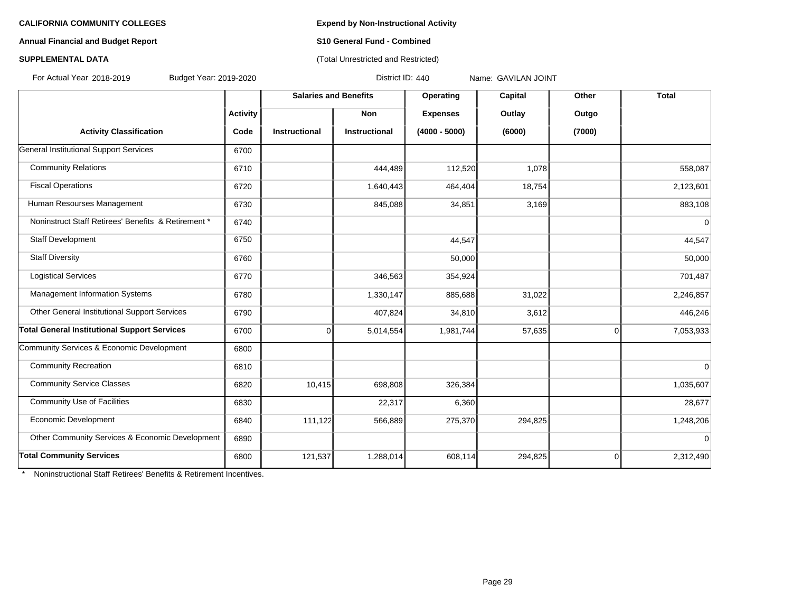### **Annual Financial and Budget Report S10 General Fund - Combined**

### **SUPPLEMENTAL DATA CONSERVATION CONSERVATION** (Total Unrestricted and Restricted)

For Actual Year: 2018-2019 Budget Year: 2019-2020 District ID: 440 Name: GAVILAN JOINT

|                                                     |                 | <b>Salaries and Benefits</b> |                      | Operating       | Capital | Other  | <b>Total</b> |
|-----------------------------------------------------|-----------------|------------------------------|----------------------|-----------------|---------|--------|--------------|
|                                                     | <b>Activity</b> |                              | Non                  | <b>Expenses</b> | Outlay  | Outgo  |              |
| <b>Activity Classification</b>                      | Code            | <b>Instructional</b>         | <b>Instructional</b> | $(4000 - 5000)$ | (6000)  | (7000) |              |
| General Institutional Support Services              | 6700            |                              |                      |                 |         |        |              |
| <b>Community Relations</b>                          | 6710            |                              | 444,489              | 112,520         | 1,078   |        | 558,087      |
| <b>Fiscal Operations</b>                            | 6720            |                              | 1,640,443            | 464,404         | 18,754  |        | 2,123,601    |
| Human Resourses Management                          | 6730            |                              | 845,088              | 34,851          | 3,169   |        | 883,108      |
| Noninstruct Staff Retirees' Benefits & Retirement * | 6740            |                              |                      |                 |         |        | $\mathbf 0$  |
| Staff Development                                   | 6750            |                              |                      | 44,547          |         |        | 44,547       |
| <b>Staff Diversity</b>                              | 6760            |                              |                      | 50,000          |         |        | 50,000       |
| <b>Logistical Services</b>                          | 6770            |                              | 346,563              | 354,924         |         |        | 701,487      |
| Management Information Systems                      | 6780            |                              | 1,330,147            | 885,688         | 31,022  |        | 2,246,857    |
| Other General Institutional Support Services        | 6790            |                              | 407,824              | 34,810          | 3,612   |        | 446,246      |
| <b>Total General Institutional Support Services</b> | 6700            | $\Omega$                     | 5,014,554            | 1,981,744       | 57,635  | 0      | 7,053,933    |
| Community Services & Economic Development           | 6800            |                              |                      |                 |         |        |              |
| <b>Community Recreation</b>                         | 6810            |                              |                      |                 |         |        | $\Omega$     |
| <b>Community Service Classes</b>                    | 6820            | 10,415                       | 698,808              | 326,384         |         |        | 1,035,607    |
| <b>Community Use of Facilities</b>                  | 6830            |                              | 22,317               | 6,360           |         |        | 28,677       |
| Economic Development                                | 6840            | 111,122                      | 566,889              | 275,370         | 294,825 |        | 1,248,206    |
| Other Community Services & Economic Development     | 6890            |                              |                      |                 |         |        | $\mathbf 0$  |
| <b>Total Community Services</b>                     | 6800            | 121,537                      | 1,288,014            | 608,114         | 294,825 | 0      | 2,312,490    |

\* Noninstructional Staff Retirees' Benefits & Retirement Incentives.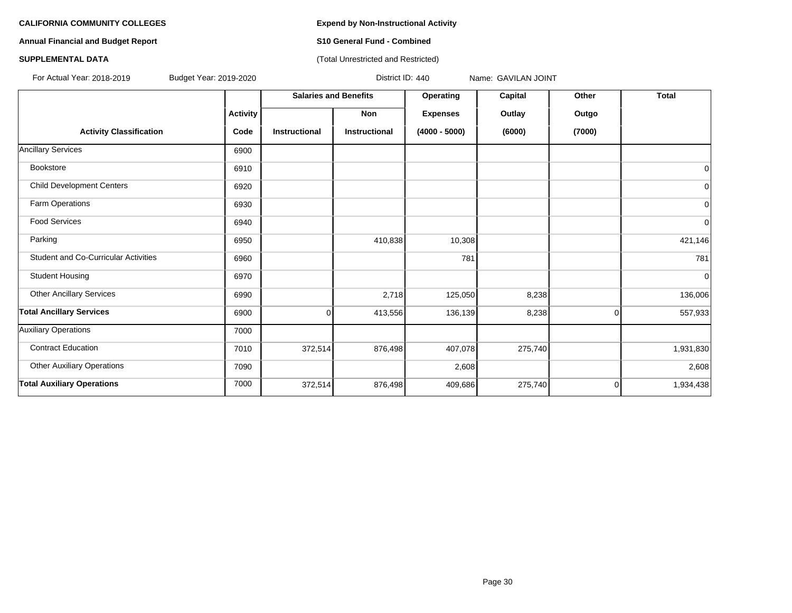**Annual Financial and Budget Report S10 General Fund - Combined**

### **SUPPLEMENTAL DATA CONSUMPTER ACCOUNT ACCOUNT ACCOUNT ACCOUNT ACCOUNT ACCOUNT ACCOUNT ACCOUNT ACCOUNT ACCOUNT ACCOUNT ACCOUNT ACCOUNT ACCOUNT ACCOUNT ACCOUNT ACCOUNT ACCOUNT ACCOUNT ACCOUNT ACCOUNT ACCOUNT ACCOUNT ACCOUN**

For Actual Year: 2018-2019 Budget Year: 2019-2020 District ID: 440 Name: GAVILAN JOINT

|                                             |                 | <b>Salaries and Benefits</b> |                      | Operating       | Capital | Other       | <b>Total</b>   |
|---------------------------------------------|-----------------|------------------------------|----------------------|-----------------|---------|-------------|----------------|
|                                             | <b>Activity</b> |                              | Non                  | <b>Expenses</b> | Outlay  | Outgo       |                |
| <b>Activity Classification</b>              | Code            | <b>Instructional</b>         | <b>Instructional</b> | $(4000 - 5000)$ | (6000)  | (7000)      |                |
| <b>Ancillary Services</b>                   | 6900            |                              |                      |                 |         |             |                |
| <b>Bookstore</b>                            | 6910            |                              |                      |                 |         |             | 0              |
| <b>Child Development Centers</b>            | 6920            |                              |                      |                 |         |             | $\overline{0}$ |
| Farm Operations                             | 6930            |                              |                      |                 |         |             | $\overline{0}$ |
| <b>Food Services</b>                        | 6940            |                              |                      |                 |         |             | 0              |
| Parking                                     | 6950            |                              | 410,838              | 10,308          |         |             | 421,146        |
| <b>Student and Co-Curricular Activities</b> | 6960            |                              |                      | 781             |         |             | 781            |
| <b>Student Housing</b>                      | 6970            |                              |                      |                 |         |             | $\overline{0}$ |
| <b>Other Ancillary Services</b>             | 6990            |                              | 2,718                | 125,050         | 8,238   |             | 136,006        |
| <b>Total Ancillary Services</b>             | 6900            | Ωl                           | 413,556              | 136,139         | 8,238   | 0           | 557,933        |
| <b>Auxiliary Operations</b>                 | 7000            |                              |                      |                 |         |             |                |
| <b>Contract Education</b>                   | 7010            | 372,514                      | 876,498              | 407,078         | 275,740 |             | 1,931,830      |
| <b>Other Auxiliary Operations</b>           | 7090            |                              |                      | 2,608           |         |             | 2,608          |
| <b>Total Auxiliary Operations</b>           | 7000            | 372,514                      | 876,498              | 409,686         | 275,740 | $\mathbf 0$ | 1,934,438      |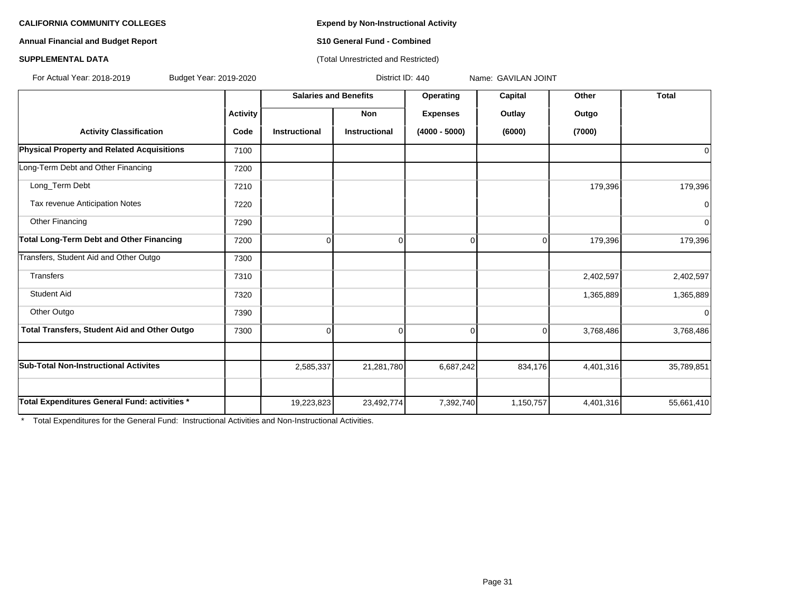**Annual Financial and Budget Report S10 General Fund - Combined**

### **SUPPLEMENTAL DATA CONSUMPTER ACCOUNT ACCOUNT ACCOUNT ACCOUNT ACCOUNT ACCOUNT ACCOUNT ACCOUNT ACCOUNT ACCOUNT ACCOUNT ACCOUNT ACCOUNT ACCOUNT ACCOUNT ACCOUNT ACCOUNT ACCOUNT ACCOUNT ACCOUNT ACCOUNT ACCOUNT ACCOUNT ACCOUN**

For Actual Year: 2018-2019 Budget Year: 2019-2020 District ID: 440 Name: GAVILAN JOINT

|                                               |                 | <b>Salaries and Benefits</b> |               | Operating       | <b>Capital</b> | Other     | <b>Total</b> |
|-----------------------------------------------|-----------------|------------------------------|---------------|-----------------|----------------|-----------|--------------|
|                                               | <b>Activity</b> |                              | Non           | <b>Expenses</b> | Outlay         | Outgo     |              |
| <b>Activity Classification</b>                | Code            | <b>Instructional</b>         | Instructional | $(4000 - 5000)$ | (6000)         | (7000)    |              |
| Physical Property and Related Acquisitions    | 7100            |                              |               |                 |                |           |              |
| Long-Term Debt and Other Financing            | 7200            |                              |               |                 |                |           |              |
| Long_Term Debt                                | 7210            |                              |               |                 |                | 179,396   | 179,396      |
| Tax revenue Anticipation Notes                | 7220            |                              |               |                 |                |           |              |
| Other Financing                               | 7290            |                              |               |                 |                |           | ∩            |
| Total Long-Term Debt and Other Financing      | 7200            | $\Omega$                     | $\Omega$      | 0               | $\Omega$       | 179,396   | 179,396      |
| Transfers, Student Aid and Other Outgo        | 7300            |                              |               |                 |                |           |              |
| Transfers                                     | 7310            |                              |               |                 |                | 2,402,597 | 2,402,597    |
| <b>Student Aid</b>                            | 7320            |                              |               |                 |                | 1,365,889 | 1,365,889    |
| Other Outgo                                   | 7390            |                              |               |                 |                |           | $\Omega$     |
| Total Transfers, Student Aid and Other Outgo  | 7300            | $\Omega$                     | $\Omega$      | $\Omega$        | $\Omega$       | 3,768,486 | 3,768,486    |
|                                               |                 |                              |               |                 |                |           |              |
| <b>Sub-Total Non-Instructional Activites</b>  |                 | 2,585,337                    | 21,281,780    | 6,687,242       | 834,176        | 4,401,316 | 35,789,851   |
|                                               |                 |                              |               |                 |                |           |              |
| Total Expenditures General Fund: activities * |                 | 19,223,823                   | 23,492,774    | 7,392,740       | 1,150,757      | 4,401,316 | 55,661,410   |

\* Total Expenditures for the General Fund: Instructional Activities and Non-Instructional Activities.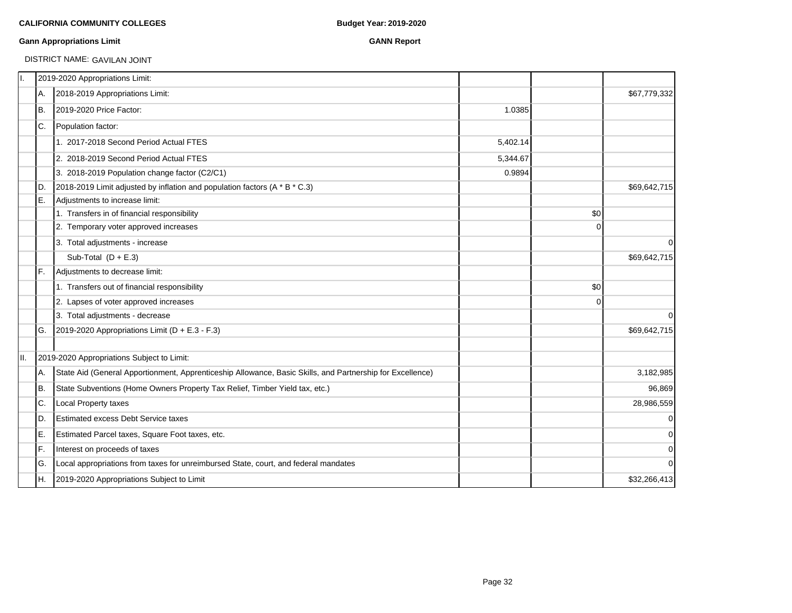### **Gann Appropriations Limit GANN Report**

DISTRICT NAME: GAVILAN JOINT

| Π. |     | 2019-2020 Appropriations Limit:                                                                           |          |             |                |
|----|-----|-----------------------------------------------------------------------------------------------------------|----------|-------------|----------------|
|    | A.  | 2018-2019 Appropriations Limit:                                                                           |          |             | \$67,779,332   |
|    | IB. | 2019-2020 Price Factor:                                                                                   | 1.0385   |             |                |
|    | IC. | Population factor:                                                                                        |          |             |                |
|    |     | 1. 2017-2018 Second Period Actual FTES                                                                    | 5,402.14 |             |                |
|    |     | 2. 2018-2019 Second Period Actual FTES                                                                    | 5,344.67 |             |                |
|    |     | 3. 2018-2019 Population change factor (C2/C1)                                                             | 0.9894   |             |                |
|    | ID. | 2018-2019 Limit adjusted by inflation and population factors (A * B * C.3)                                |          |             | \$69,642,715   |
|    | IE. | Adjustments to increase limit:                                                                            |          |             |                |
|    |     | 1. Transfers in of financial responsibility                                                               |          | \$0         |                |
|    |     | 2. Temporary voter approved increases                                                                     |          | $\Omega$    |                |
|    |     | 3. Total adjustments - increase                                                                           |          |             | $\overline{0}$ |
|    |     | Sub-Total $(D + E.3)$                                                                                     |          |             | \$69,642,715   |
|    | IF. | Adjustments to decrease limit:                                                                            |          |             |                |
|    |     | 1. Transfers out of financial responsibility                                                              |          | \$0         |                |
|    |     | 2. Lapses of voter approved increases                                                                     |          | $\mathbf 0$ |                |
|    |     | 3. Total adjustments - decrease                                                                           |          |             | $\overline{0}$ |
|    | IG. | 2019-2020 Appropriations Limit ( $D + E.3 - F.3$ )                                                        |          |             | \$69,642,715   |
|    |     | 2019-2020 Appropriations Subject to Limit:                                                                |          |             |                |
|    | IA. | State Aid (General Apportionment, Apprenticeship Allowance, Basic Skills, and Partnership for Excellence) |          |             | 3,182,985      |
|    | IB. | State Subventions (Home Owners Property Tax Relief, Timber Yield tax, etc.)                               |          |             | 96,869         |
|    | C.  | Local Property taxes                                                                                      |          |             | 28,986,559     |
|    | ID. | <b>Estimated excess Debt Service taxes</b>                                                                |          |             | $\overline{0}$ |
|    | E.  | Estimated Parcel taxes, Square Foot taxes, etc.                                                           |          |             | $\overline{0}$ |
|    | IF. | Interest on proceeds of taxes                                                                             |          |             | $\overline{0}$ |
|    | IG. | Local appropriations from taxes for unreimbursed State, court, and federal mandates                       |          |             | $\overline{0}$ |
|    | IH. | 2019-2020 Appropriations Subject to Limit                                                                 |          |             | \$32,266,413   |
|    |     |                                                                                                           |          |             |                |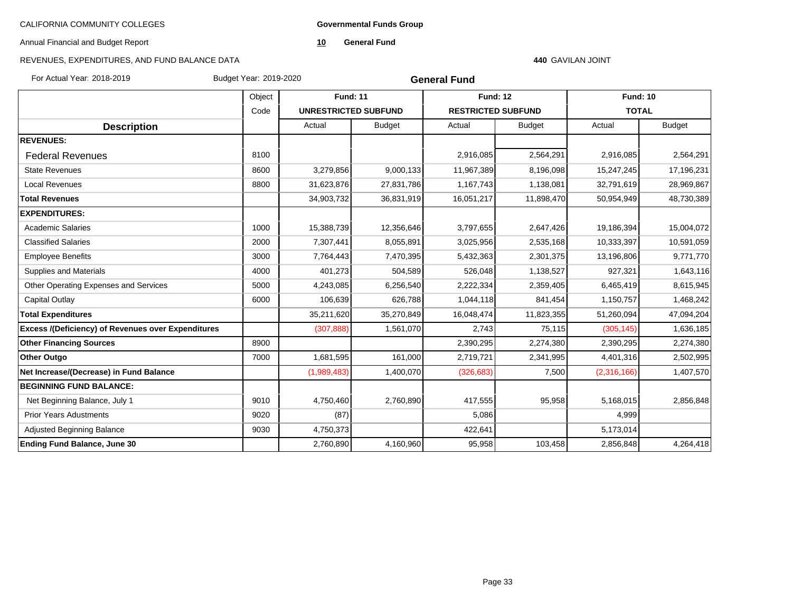**Governmental Funds Group**

Annual Financial and Budget Report

**10 General Fund**

### REVENUES, EXPENDITURES, AND FUND BALANCE DATA

### **440** GAVILAN JOINT

For Actual Year: 2018-2019 Budget Year: 2019-2020

| <b>General Fund</b> |  |
|---------------------|--|
|---------------------|--|

|                                                           | Object | <b>Fund: 11</b>             |               | <b>Fund: 12</b>           |               | <b>Fund: 10</b> |               |
|-----------------------------------------------------------|--------|-----------------------------|---------------|---------------------------|---------------|-----------------|---------------|
|                                                           | Code   | <b>UNRESTRICTED SUBFUND</b> |               | <b>RESTRICTED SUBFUND</b> |               | <b>TOTAL</b>    |               |
| <b>Description</b>                                        |        | Actual                      | <b>Budget</b> | Actual                    | <b>Budget</b> | Actual          | <b>Budget</b> |
| <b>REVENUES:</b>                                          |        |                             |               |                           |               |                 |               |
| <b>Federal Revenues</b>                                   | 8100   |                             |               | 2,916,085                 | 2,564,291     | 2,916,085       | 2,564,291     |
| <b>State Revenues</b>                                     | 8600   | 3,279,856                   | 9,000,133     | 11,967,389                | 8,196,098     | 15,247,245      | 17,196,231    |
| <b>Local Revenues</b>                                     | 8800   | 31,623,876                  | 27,831,786    | 1,167,743                 | 1,138,081     | 32,791,619      | 28,969,867    |
| <b>Total Revenues</b>                                     |        | 34,903,732                  | 36,831,919    | 16,051,217                | 11,898,470    | 50,954,949      | 48,730,389    |
| <b>EXPENDITURES:</b>                                      |        |                             |               |                           |               |                 |               |
| <b>Academic Salaries</b>                                  | 1000   | 15,388,739                  | 12,356,646    | 3,797,655                 | 2,647,426     | 19,186,394      | 15,004,072    |
| <b>Classified Salaries</b>                                | 2000   | 7,307,441                   | 8,055,891     | 3,025,956                 | 2,535,168     | 10,333,397      | 10,591,059    |
| <b>Employee Benefits</b>                                  | 3000   | 7,764,443                   | 7,470,395     | 5,432,363                 | 2,301,375     | 13,196,806      | 9,771,770     |
| Supplies and Materials                                    | 4000   | 401,273                     | 504,589       | 526,048                   | 1,138,527     | 927,321         | 1,643,116     |
| Other Operating Expenses and Services                     | 5000   | 4,243,085                   | 6,256,540     | 2,222,334                 | 2,359,405     | 6,465,419       | 8,615,945     |
| Capital Outlay                                            | 6000   | 106,639                     | 626,788       | 1,044,118                 | 841,454       | 1,150,757       | 1,468,242     |
| <b>Total Expenditures</b>                                 |        | 35,211,620                  | 35,270,849    | 16,048,474                | 11,823,355    | 51,260,094      | 47,094,204    |
| <b>Excess /(Deficiency) of Revenues over Expenditures</b> |        | (307, 888)                  | 1,561,070     | 2,743                     | 75,115        | (305, 145)      | 1,636,185     |
| <b>Other Financing Sources</b>                            | 8900   |                             |               | 2,390,295                 | 2,274,380     | 2,390,295       | 2,274,380     |
| <b>Other Outgo</b>                                        | 7000   | 1,681,595                   | 161,000       | 2,719,721                 | 2,341,995     | 4,401,316       | 2,502,995     |
| Net Increase/(Decrease) in Fund Balance                   |        | (1,989,483)                 | 1,400,070     | (326, 683)                | 7,500         | (2,316,166)     | 1,407,570     |
| <b>BEGINNING FUND BALANCE:</b>                            |        |                             |               |                           |               |                 |               |
| Net Beginning Balance, July 1                             | 9010   | 4,750,460                   | 2,760,890     | 417,555                   | 95,958        | 5,168,015       | 2,856,848     |
| <b>Prior Years Adustments</b>                             | 9020   | (87)                        |               | 5,086                     |               | 4,999           |               |
| Adjusted Beginning Balance                                | 9030   | 4,750,373                   |               | 422,641                   |               | 5,173,014       |               |
| <b>Ending Fund Balance, June 30</b>                       |        | 2,760,890                   | 4,160,960     | 95,958                    | 103,458       | 2,856,848       | 4,264,418     |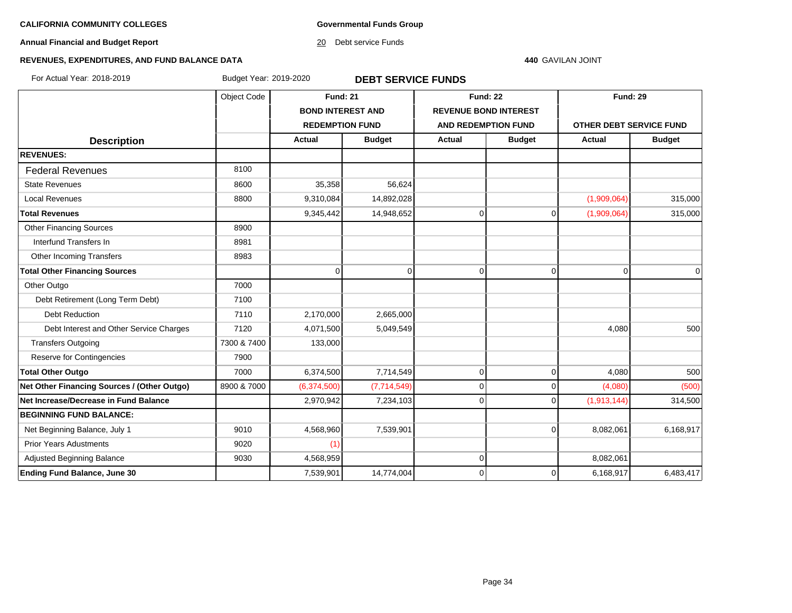**Governmental Funds Group**

**Annual Financial and Budget Report**

20 Debt service Funds

### **440** GAVILAN JOINT

### **REVENUES, EXPENDITURES, AND FUND BALANCE DATA**

For Actual Year: 2018-2019 Budget Year: 2019-2020 **DEBT SERVICE FUNDS**

|                                             | Object Code | <b>Fund: 21</b>          |               | <b>Fund: 22</b> |                              | <b>Fund: 29</b> |                         |  |
|---------------------------------------------|-------------|--------------------------|---------------|-----------------|------------------------------|-----------------|-------------------------|--|
|                                             |             | <b>BOND INTEREST AND</b> |               |                 | <b>REVENUE BOND INTEREST</b> |                 |                         |  |
|                                             |             | <b>REDEMPTION FUND</b>   |               |                 | <b>AND REDEMPTION FUND</b>   |                 | OTHER DEBT SERVICE FUND |  |
| <b>Description</b>                          |             | <b>Actual</b>            | <b>Budget</b> | <b>Actual</b>   | <b>Budget</b>                | Actual          | <b>Budget</b>           |  |
| <b>REVENUES:</b>                            |             |                          |               |                 |                              |                 |                         |  |
| <b>Federal Revenues</b>                     | 8100        |                          |               |                 |                              |                 |                         |  |
| <b>State Revenues</b>                       | 8600        | 35,358                   | 56,624        |                 |                              |                 |                         |  |
| <b>Local Revenues</b>                       | 8800        | 9,310,084                | 14,892,028    |                 |                              | (1,909,064)     | 315,000                 |  |
| <b>Total Revenues</b>                       |             | 9,345,442                | 14,948,652    | 0               | $\overline{0}$               | (1,909,064)     | 315,000                 |  |
| <b>Other Financing Sources</b>              | 8900        |                          |               |                 |                              |                 |                         |  |
| Interfund Transfers In                      | 8981        |                          |               |                 |                              |                 |                         |  |
| Other Incoming Transfers                    | 8983        |                          |               |                 |                              |                 |                         |  |
| <b>Total Other Financing Sources</b>        |             | $\Omega$                 | $\mathbf 0$   | 0               | $\overline{0}$               | $\mathbf 0$     | $\overline{0}$          |  |
| Other Outgo                                 | 7000        |                          |               |                 |                              |                 |                         |  |
| Debt Retirement (Long Term Debt)            | 7100        |                          |               |                 |                              |                 |                         |  |
| <b>Debt Reduction</b>                       | 7110        | 2,170,000                | 2,665,000     |                 |                              |                 |                         |  |
| Debt Interest and Other Service Charges     | 7120        | 4,071,500                | 5,049,549     |                 |                              | 4,080           | 500                     |  |
| <b>Transfers Outgoing</b>                   | 7300 & 7400 | 133,000                  |               |                 |                              |                 |                         |  |
| <b>Reserve for Contingencies</b>            | 7900        |                          |               |                 |                              |                 |                         |  |
| <b>Total Other Outgo</b>                    | 7000        | 6,374,500                | 7,714,549     | 0               | $\overline{0}$               | 4,080           | 500                     |  |
| Net Other Financing Sources / (Other Outgo) | 8900 & 7000 | (6,374,500)              | (7,714,549)   | 0               | $\overline{0}$               | (4,080)         | (500)                   |  |
| Net Increase/Decrease in Fund Balance       |             | 2,970,942                | 7,234,103     | 0               | $\Omega$                     | (1,913,144)     | 314,500                 |  |
| <b>BEGINNING FUND BALANCE:</b>              |             |                          |               |                 |                              |                 |                         |  |
| Net Beginning Balance, July 1               | 9010        | 4,568,960                | 7,539,901     |                 | $\Omega$                     | 8,082,061       | 6,168,917               |  |
| <b>Prior Years Adustments</b>               | 9020        | (1)                      |               |                 |                              |                 |                         |  |
| Adjusted Beginning Balance                  | 9030        | 4,568,959                |               | 0               |                              | 8,082,061       |                         |  |
| <b>Ending Fund Balance, June 30</b>         |             | 7,539,901                | 14,774,004    | 0               | $\overline{0}$               | 6,168,917       | 6,483,417               |  |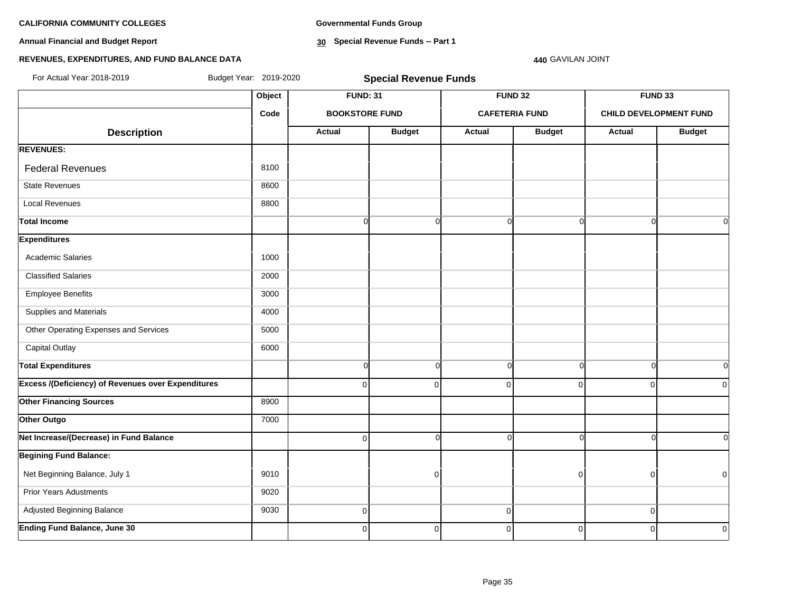**Annual Financial and Budget Report**

**Governmental Funds Group**

**30 Special Revenue Funds -- Part 1**

### **REVENUES, EXPENDITURES, AND FUND BALANCE DATA**

# **Object FUND: 31 FUND 32 FUND 33 Code BOOKSTORE FUND CAFETERIA FUND CHILD DEVELOPMENT FUND**  $\begin{array}{|c|c|c|c|c|c|}\n \hline\n \text{Description} & & \text{Actual} & \text{Actual} & \text{Budget} & \text{Actual} & \text{Budget} & \text{Actual} & \text{Budget} \end{array}$ **REVENUES:** Federal Revenues 8100 State Revenues 8600 Local Revenues 8800 **Total Income** 0 0 0 0 0 0 **Expenditures** Academic Salaries 1000 Classified Salaries 2000 Employee Benefits 3000 Supplies and Materials 4000 Other Operating Expenses and Services 5000 Capital Outlay 6000 **Total Expenditures** 0 0 0 0 0 0 **Excess /(Deficiency) of Revenues over Expenditures** ( and a comparation of comparation of comparation of comparation of comparation of comparation of comparation of comparation of comparation of comparation of comparation **Other Financing Sources** 8900 **Other Outgo** 7000 **Net Increase/(Decrease) in Fund Balance** 0 0 0 0 0 0 **Begining Fund Balance:** Net Beginning Balance, July 1 9010 0 0 0 0 Prior Years Adustments **9020**  Adjusted Beginning Balance 9030 0 0 0 For Actual Year:2018-2019 Budget Year: 2019-2020 **Special Revenue Funds**

**Ending Fund Balance, June 30** 0 0 0 0 0 0

**440** GAVILAN JOINT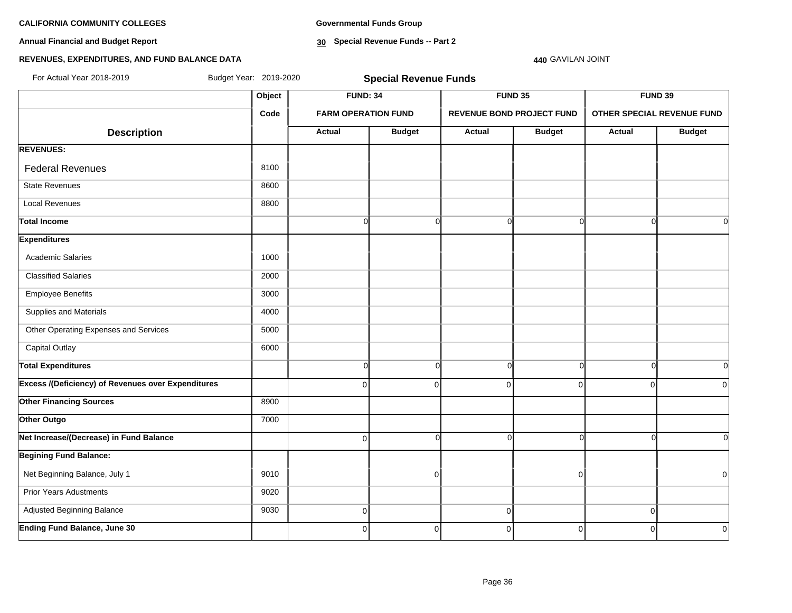**Annual Financial and Budget Report**

**Governmental Funds Group**

**30 Special Revenue Funds -- Part 2**

### **REVENUES, EXPENDITURES, AND FUND BALANCE DATA**

# **Object FUND: 34 FUND 35 FUND 39 Code FARM OPERATION FUND REVENUE BOND PROJECT FUND OTHER SPECIAL REVENUE FUND**  $\begin{array}{|c|c|c|c|c|c|}\n \hline\n \text{Description} & & \text{Actual} & \text{Actual} & \text{Budget} & \text{Actual} & \text{Budget} & \text{Actual} & \text{Budget} \end{array}$ **REVENUES:** Federal Revenues 8100 State Revenues 8600 Local Revenues 8800 **Total Income** 0 0 0 0 0 0 **Expenditures** Academic Salaries 1000 Classified Salaries 2000 Employee Benefits 3000 Supplies and Materials 4000 Other Operating Expenses and Services 5000 Capital Outlay 6000 **Total Expenditures** 0 0 0 0 0 0 **Excess /(Deficiency) of Revenues over Expenditures** ( and a comparation of comparation of comparation of comparation of comparation of comparation of comparation of comparation of comparation of comparation of comparation **Other Financing Sources** 8900 **Other Outgo** 7000 **Net Increase/(Decrease) in Fund Balance** 0 0 0 0 0 0 **Begining Fund Balance:** Net Beginning Balance, July 1 9010 0 0 0 Prior Years Adustments **9020**  Adjusted Beginning Balance 9030 0 0 0 **Ending Fund Balance, June 30** 0 0 0 0 0 0 For Actual Year:2018-2019 Budget Year: 2019-2020 **Special Revenue Funds**

**440** GAVILAN JOINT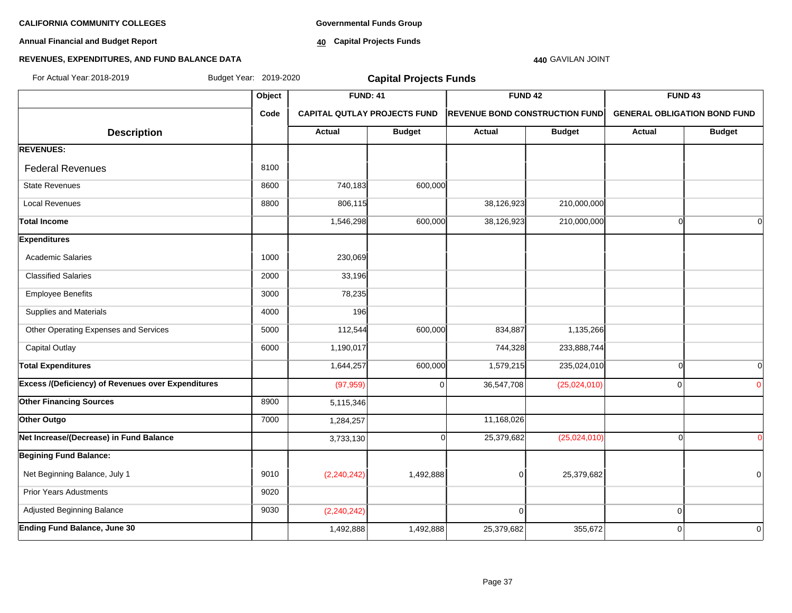**Annual Financial and Budget Report**

**Governmental Funds Group**

**40 Capital Projects Funds**

### **440** GAVILAN JOINT

### **REVENUES, EXPENDITURES, AND FUND BALANCE DATA**

| For Actual Year: 2018-2019                                | Budget Year: 2019-2020 |                 | <b>Capital Projects Funds</b>       |                |                                       |                                     |               |
|-----------------------------------------------------------|------------------------|-----------------|-------------------------------------|----------------|---------------------------------------|-------------------------------------|---------------|
|                                                           | Object                 | <b>FUND: 41</b> |                                     | <b>FUND 42</b> |                                       | FUND <sub>43</sub>                  |               |
|                                                           | Code                   |                 | <b>CAPITAL QUTLAY PROJECTS FUND</b> |                | <b>REVENUE BOND CONSTRUCTION FUND</b> | <b>GENERAL OBLIGATION BOND FUND</b> |               |
| <b>Description</b>                                        |                        | Actual          | <b>Budget</b>                       | Actual         | <b>Budget</b>                         | Actual                              | <b>Budget</b> |
| <b>REVENUES:</b>                                          |                        |                 |                                     |                |                                       |                                     |               |
| <b>Federal Revenues</b>                                   | 8100                   |                 |                                     |                |                                       |                                     |               |
| <b>State Revenues</b>                                     | 8600                   | 740,183         | 600,000                             |                |                                       |                                     |               |
| <b>Local Revenues</b>                                     | 8800                   | 806,115         |                                     | 38,126,923     | 210,000,000                           |                                     |               |
| <b>Total Income</b>                                       |                        | 1,546,298       | 600,000                             | 38,126,923     | 210,000,000                           | $\cap$                              | $\Omega$      |
| <b>Expenditures</b>                                       |                        |                 |                                     |                |                                       |                                     |               |
| <b>Academic Salaries</b>                                  | 1000                   | 230,069         |                                     |                |                                       |                                     |               |
| <b>Classified Salaries</b>                                | 2000                   | 33,196          |                                     |                |                                       |                                     |               |
| <b>Employee Benefits</b>                                  | 3000                   | 78,235          |                                     |                |                                       |                                     |               |
| Supplies and Materials                                    | 4000                   | 196             |                                     |                |                                       |                                     |               |
| Other Operating Expenses and Services                     | 5000                   | 112,544         | 600,000                             | 834,887        | 1,135,266                             |                                     |               |
| <b>Capital Outlay</b>                                     | 6000                   | 1,190,017       |                                     | 744,328        | 233,888,744                           |                                     |               |
| <b>Total Expenditures</b>                                 |                        | 1,644,257       | 600,000                             | 1,579,215      | 235,024,010                           | $\Omega$                            | $\Omega$      |
| <b>Excess /(Deficiency) of Revenues over Expenditures</b> |                        | (97, 959)       | $\Omega$                            | 36,547,708     | (25,024,010)                          | $\Omega$                            | $\Omega$      |
| <b>Other Financing Sources</b>                            | 8900                   | 5,115,346       |                                     |                |                                       |                                     |               |
| Other Outgo                                               | 7000                   | 1,284,257       |                                     | 11,168,026     |                                       |                                     |               |
| Net Increase/(Decrease) in Fund Balance                   |                        | 3,733,130       | ∩                                   | 25,379,682     | (25,024,010)                          | ∩                                   | $\Omega$      |
| <b>Begining Fund Balance:</b>                             |                        |                 |                                     |                |                                       |                                     |               |
| Net Beginning Balance, July 1                             | 9010                   | (2,240,242)     | 1,492,888                           | $\mathbf 0$    | 25,379,682                            |                                     | 0             |
| <b>Prior Years Adustments</b>                             | 9020                   |                 |                                     |                |                                       |                                     |               |
| Adjusted Beginning Balance                                | 9030                   | (2, 240, 242)   |                                     | $\Omega$       |                                       | $\mathbf 0$                         |               |
| <b>Ending Fund Balance, June 30</b>                       |                        | 1,492,888       | 1,492,888                           | 25,379,682     | 355,672                               | $\Omega$                            | 0             |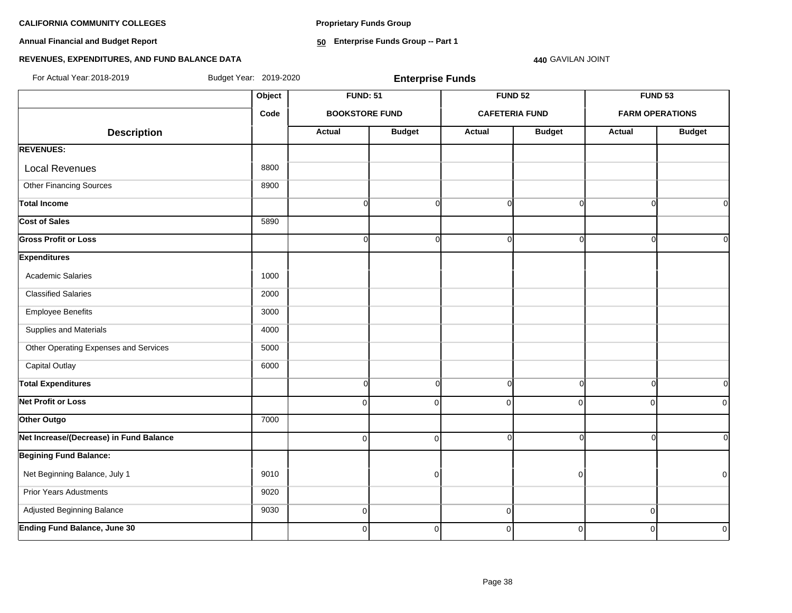**Proprietary Funds Group**

**Annual Financial and Budget Report**

**50 Enterprise Funds Group -- Part 1**

### **REVENUES, EXPENDITURES, AND FUND BALANCE DATA**

**440** GAVILAN JOINT

| For Actual Year: 2018-2019              | Budget Year: 2019-2020 |                       | <b>Enterprise Funds</b> |                       |                |                |                        |
|-----------------------------------------|------------------------|-----------------------|-------------------------|-----------------------|----------------|----------------|------------------------|
|                                         | Object                 | <b>FUND: 51</b>       |                         | <b>FUND 52</b>        |                | <b>FUND 53</b> |                        |
|                                         | Code                   | <b>BOOKSTORE FUND</b> |                         | <b>CAFETERIA FUND</b> |                |                | <b>FARM OPERATIONS</b> |
| <b>Description</b>                      |                        | <b>Actual</b>         | <b>Budget</b>           | <b>Actual</b>         | <b>Budget</b>  | <b>Actual</b>  | <b>Budget</b>          |
| <b>REVENUES:</b>                        |                        |                       |                         |                       |                |                |                        |
| <b>Local Revenues</b>                   | 8800                   |                       |                         |                       |                |                |                        |
| <b>Other Financing Sources</b>          | 8900                   |                       |                         |                       |                |                |                        |
| <b>Total Income</b>                     |                        | $\Omega$              | $\Omega$                | $\Omega$              | ∩              | $\Omega$       | $\Omega$               |
| <b>Cost of Sales</b>                    | 5890                   |                       |                         |                       |                |                |                        |
| <b>Gross Profit or Loss</b>             |                        | $\Omega$              | $\Omega$                | $\Omega$              |                | $\Omega$       | $\Omega$               |
| <b>Expenditures</b>                     |                        |                       |                         |                       |                |                |                        |
| <b>Academic Salaries</b>                | 1000                   |                       |                         |                       |                |                |                        |
| <b>Classified Salaries</b>              | 2000                   |                       |                         |                       |                |                |                        |
| <b>Employee Benefits</b>                | 3000                   |                       |                         |                       |                |                |                        |
| Supplies and Materials                  | 4000                   |                       |                         |                       |                |                |                        |
| Other Operating Expenses and Services   | 5000                   |                       |                         |                       |                |                |                        |
| <b>Capital Outlay</b>                   | 6000                   |                       |                         |                       |                |                |                        |
| <b>Total Expenditures</b>               |                        | $\Omega$              | $\Omega$                | $\overline{0}$        | $\Omega$       | $\Omega$       | $\Omega$               |
| <b>Net Profit or Loss</b>               |                        | $\Omega$              | $\Omega$                | $\overline{0}$        | $\Omega$       | $\mathbf 0$    | $\Omega$               |
| Other Outgo                             | 7000                   |                       |                         |                       |                |                |                        |
| Net Increase/(Decrease) in Fund Balance |                        | $\mathbf 0$           | $\Omega$                | $\overline{0}$        |                | $\Omega$       | $\overline{0}$         |
| <b>Begining Fund Balance:</b>           |                        |                       |                         |                       |                |                |                        |
| Net Beginning Balance, July 1           | 9010                   |                       | $\Omega$                |                       | ŋ              |                | $\mathbf 0$            |
| <b>Prior Years Adustments</b>           | 9020                   |                       |                         |                       |                |                |                        |
| Adjusted Beginning Balance              | 9030                   | $\mathbf 0$           |                         | $\Omega$              |                | 0              |                        |
| <b>Ending Fund Balance, June 30</b>     |                        | $\Omega$              | $\mathbf{0}$            | $\Omega$              | $\overline{0}$ | $\Omega$       | $\mathbf 0$            |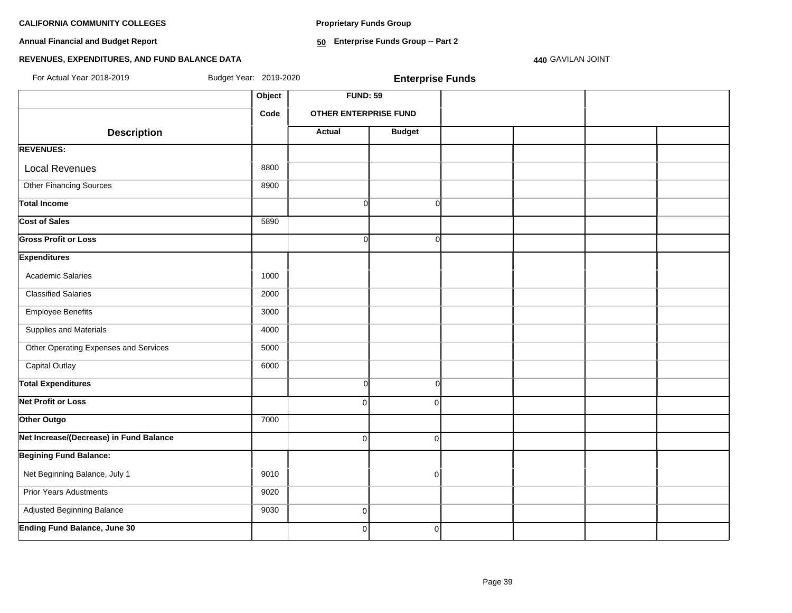**Proprietary Funds Group**

**Annual Financial and Budget Report**

**50 Enterprise Funds Group -- Part 2**

### **REVENUES, EXPENDITURES, AND FUND BALANCE DATA**

**440** GAVILAN JOINT

| For Actual Year: 2018-2019              | Budget Year: 2019-2020 |                       | <b>Enterprise Funds</b> |  |  |
|-----------------------------------------|------------------------|-----------------------|-------------------------|--|--|
|                                         | Object                 | <b>FUND: 59</b>       |                         |  |  |
|                                         | Code                   | OTHER ENTERPRISE FUND |                         |  |  |
| <b>Description</b>                      |                        | <b>Actual</b>         | <b>Budget</b>           |  |  |
| <b>REVENUES:</b>                        |                        |                       |                         |  |  |
| <b>Local Revenues</b>                   | 8800                   |                       |                         |  |  |
| <b>Other Financing Sources</b>          | 8900                   |                       |                         |  |  |
| <b>Total Income</b>                     |                        | $\Omega$              | O                       |  |  |
| <b>Cost of Sales</b>                    | 5890                   |                       |                         |  |  |
| <b>Gross Profit or Loss</b>             |                        | U                     | U                       |  |  |
| <b>Expenditures</b>                     |                        |                       |                         |  |  |
| Academic Salaries                       | 1000                   |                       |                         |  |  |
| <b>Classified Salaries</b>              | 2000                   |                       |                         |  |  |
| <b>Employee Benefits</b>                | 3000                   |                       |                         |  |  |
| Supplies and Materials                  | 4000                   |                       |                         |  |  |
| Other Operating Expenses and Services   | 5000                   |                       |                         |  |  |
| <b>Capital Outlay</b>                   | 6000                   |                       |                         |  |  |
| <b>Total Expenditures</b>               |                        | $\Omega$              | 0                       |  |  |
| <b>Net Profit or Loss</b>               |                        | $\Omega$              | $\Omega$                |  |  |
| Other Outgo                             | 7000                   |                       |                         |  |  |
| Net Increase/(Decrease) in Fund Balance |                        | $\mathbf 0$           | $\Omega$                |  |  |
| <b>Begining Fund Balance:</b>           |                        |                       |                         |  |  |
| Net Beginning Balance, July 1           | 9010                   |                       | $\Omega$                |  |  |
| <b>Prior Years Adustments</b>           | 9020                   |                       |                         |  |  |
| Adjusted Beginning Balance              | 9030                   | 0                     |                         |  |  |
| <b>Ending Fund Balance, June 30</b>     |                        | $\Omega$              | $\mathbf{0}$            |  |  |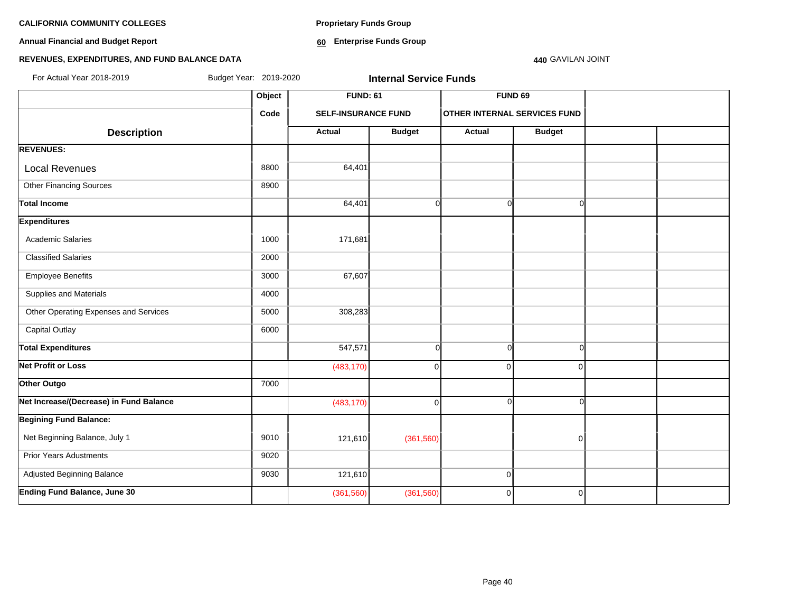**Annual Financial and Budget Report**

**Proprietary Funds Group**

**60 Enterprise Funds Group** 

### **440** GAVILAN JOINT

### **REVENUES, EXPENDITURES, AND FUND BALANCE DATA**

| For Actual Year: 2018-2019              | Budget Year: 2019-2020 |                            | <b>Internal Service Funds</b> |                |                                     |  |
|-----------------------------------------|------------------------|----------------------------|-------------------------------|----------------|-------------------------------------|--|
|                                         | Object                 | <b>FUND: 61</b>            |                               |                | FUND <sub>69</sub>                  |  |
|                                         | Code                   | <b>SELF-INSURANCE FUND</b> |                               |                | <b>OTHER INTERNAL SERVICES FUND</b> |  |
| <b>Description</b>                      |                        | Actual                     | <b>Budget</b>                 | <b>Actual</b>  | <b>Budget</b>                       |  |
| <b>REVENUES:</b>                        |                        |                            |                               |                |                                     |  |
| <b>Local Revenues</b>                   | 8800                   | 64,401                     |                               |                |                                     |  |
| <b>Other Financing Sources</b>          | 8900                   |                            |                               |                |                                     |  |
| <b>Total Income</b>                     |                        | 64,401                     | $\overline{0}$                | $\Omega$       | ΩI                                  |  |
| <b>Expenditures</b>                     |                        |                            |                               |                |                                     |  |
| <b>Academic Salaries</b>                | 1000                   | 171,681                    |                               |                |                                     |  |
| <b>Classified Salaries</b>              | 2000                   |                            |                               |                |                                     |  |
| <b>Employee Benefits</b>                | 3000                   | 67,607                     |                               |                |                                     |  |
| Supplies and Materials                  | 4000                   |                            |                               |                |                                     |  |
| Other Operating Expenses and Services   | 5000                   | 308,283                    |                               |                |                                     |  |
| <b>Capital Outlay</b>                   | 6000                   |                            |                               |                |                                     |  |
| <b>Total Expenditures</b>               |                        | 547,571                    | $\overline{0}$                | $\Omega$       | $\Omega$                            |  |
| Net Profit or Loss                      |                        | (483, 170)                 | $\mathbf 0$                   | $\mathbf{0}$   | $\Omega$                            |  |
| Other Outgo                             | 7000                   |                            |                               |                |                                     |  |
| Net Increase/(Decrease) in Fund Balance |                        | (483, 170)                 | $\pmb{0}$                     | $\cap$         | $\Omega$                            |  |
| <b>Begining Fund Balance:</b>           |                        |                            |                               |                |                                     |  |
| Net Beginning Balance, July 1           | 9010                   | 121,610                    | (361, 560)                    |                | $\mathbf 0$                         |  |
| <b>Prior Years Adustments</b>           | 9020                   |                            |                               |                |                                     |  |
| Adjusted Beginning Balance              | 9030                   | 121,610                    |                               | $\overline{0}$ |                                     |  |
| <b>Ending Fund Balance, June 30</b>     |                        | (361, 560)                 | (361, 560)                    | $\overline{0}$ | $\mathbf 0$                         |  |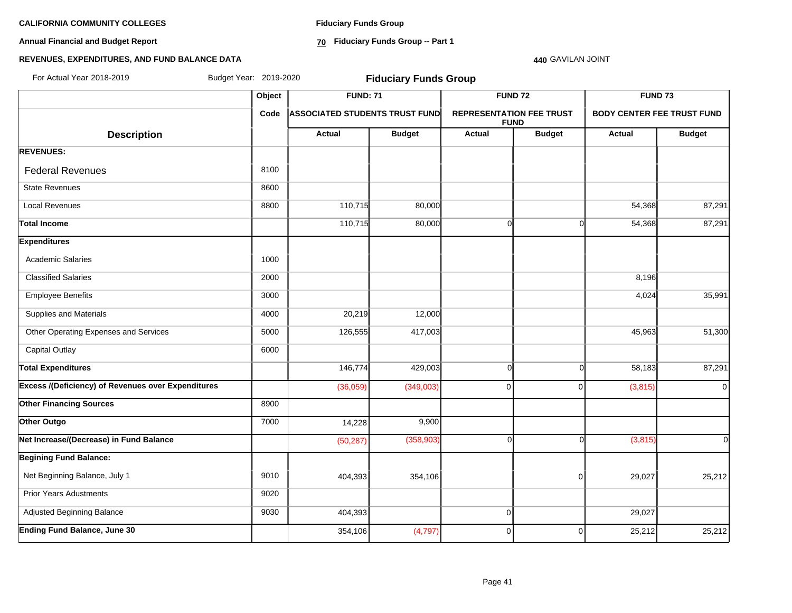**Annual Financial and Budget Report**

**Fiduciary Funds Group**

**70 Fiduciary Funds Group -- Part 1**

### **440** GAVILAN JOINT

### **REVENUES, EXPENDITURES, AND FUND BALANCE DATA**

| For Actual Year: 2018-2019                                | Budget Year: 2019-2020 |                                       | <b>Fiduciary Funds Group</b> |                |                                                                                     |                    |                |
|-----------------------------------------------------------|------------------------|---------------------------------------|------------------------------|----------------|-------------------------------------------------------------------------------------|--------------------|----------------|
|                                                           | Object                 | <b>FUND: 71</b>                       |                              | <b>FUND 72</b> |                                                                                     | FUND <sub>73</sub> |                |
|                                                           | Code                   | <b>ASSOCIATED STUDENTS TRUST FUND</b> |                              |                | <b>REPRESENTATION FEE TRUST</b><br><b>BODY CENTER FEE TRUST FUND</b><br><b>FUND</b> |                    |                |
| <b>Description</b>                                        |                        | <b>Actual</b>                         | <b>Budget</b>                | <b>Actual</b>  | <b>Budget</b>                                                                       | <b>Actual</b>      | <b>Budget</b>  |
| <b>REVENUES:</b>                                          |                        |                                       |                              |                |                                                                                     |                    |                |
| <b>Federal Revenues</b>                                   | 8100                   |                                       |                              |                |                                                                                     |                    |                |
| <b>State Revenues</b>                                     | 8600                   |                                       |                              |                |                                                                                     |                    |                |
| <b>Local Revenues</b>                                     | 8800                   | 110,715                               | 80,000                       |                |                                                                                     | 54,368             | 87,291         |
| <b>Total Income</b>                                       |                        | 110,715                               | 80,000                       | $\Omega$       | $\Omega$                                                                            | 54,368             | 87,291         |
| <b>Expenditures</b>                                       |                        |                                       |                              |                |                                                                                     |                    |                |
| <b>Academic Salaries</b>                                  | 1000                   |                                       |                              |                |                                                                                     |                    |                |
| <b>Classified Salaries</b>                                | 2000                   |                                       |                              |                |                                                                                     | 8,196              |                |
| <b>Employee Benefits</b>                                  | 3000                   |                                       |                              |                |                                                                                     | 4,024              | 35,991         |
| Supplies and Materials                                    | 4000                   | 20,219                                | 12,000                       |                |                                                                                     |                    |                |
| Other Operating Expenses and Services                     | 5000                   | 126,555                               | 417,003                      |                |                                                                                     | 45,963             | 51,300         |
| <b>Capital Outlay</b>                                     | 6000                   |                                       |                              |                |                                                                                     |                    |                |
| <b>Total Expenditures</b>                                 |                        | 146,774                               | 429,003                      | $\Omega$       | $\Omega$                                                                            | 58,183             | 87,291         |
| <b>Excess /(Deficiency) of Revenues over Expenditures</b> |                        | (36,059)                              | (349,003)                    | $\overline{0}$ | $\Omega$                                                                            | (3,815)            | $\overline{0}$ |
| <b>Other Financing Sources</b>                            | 8900                   |                                       |                              |                |                                                                                     |                    |                |
| Other Outgo                                               | 7000                   | 14,228                                | 9,900                        |                |                                                                                     |                    |                |
| Net Increase/(Decrease) in Fund Balance                   |                        | (50, 287)                             | (358, 903)                   | $\Omega$       | ∩                                                                                   | (3,815)            | ΩI             |
| <b>Begining Fund Balance:</b>                             |                        |                                       |                              |                |                                                                                     |                    |                |
| Net Beginning Balance, July 1                             | 9010                   | 404,393                               | 354,106                      |                | $\overline{0}$                                                                      | 29,027             | 25,212         |
| <b>Prior Years Adustments</b>                             | 9020                   |                                       |                              |                |                                                                                     |                    |                |
| Adjusted Beginning Balance                                | 9030                   | 404,393                               |                              | $\overline{0}$ |                                                                                     | 29,027             |                |
| Ending Fund Balance, June 30                              |                        | 354,106                               | (4,797)                      | $\overline{0}$ | $\overline{0}$                                                                      | 25,212             | 25,212         |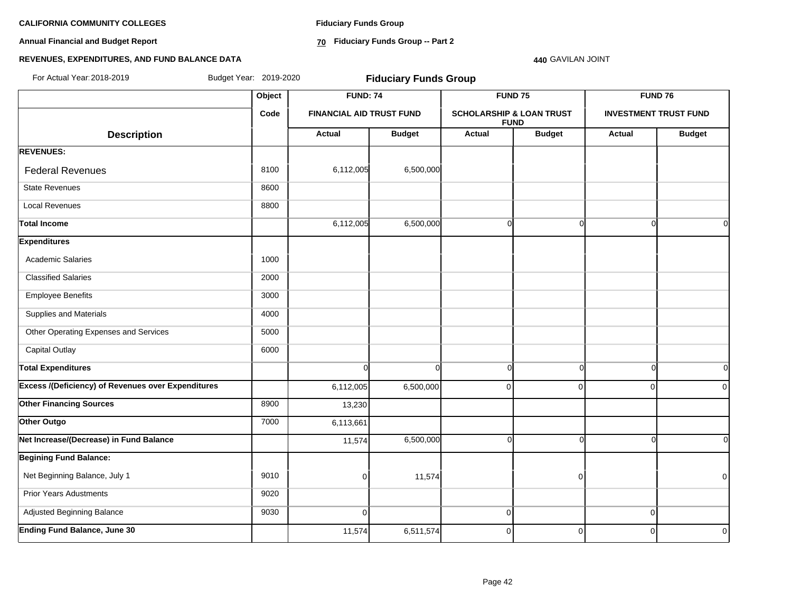**Annual Financial and Budget Report**

**Fiduciary Funds Group**

**70 Fiduciary Funds Group -- Part 2**

**440** GAVILAN JOINT

### **REVENUES, EXPENDITURES, AND FUND BALANCE DATA**

**Object FUND: 74 FUND 75 FUND 76 Code FINANCIAL AID TRUST FUND SCHOLARSHIP & LOAN TRUST FUND INVESTMENT TRUST FUND Description Actual Budget Actual Budget Actual Budget REVENUES: Federal Revenues 6,500,000** 8100 8100 6,112,005 6,500,000 State Revenues 8600 Local Revenues 8800 Total Income 6,112,005**| 6,500,000| 0| 0 Expenditures** Academic Salaries 1000 Classified Salaries 2000 Employee Benefits 3000 Supplies and Materials 4000 Other Operating Expenses and Services 5000 Capital Outlay **6000 Total Expenditures** 0 0 0 0 0 0 **Excess /(Deficiency) of Revenues over Expenditures** (  $\begin{bmatrix} 6,112,005 & 6,500,000 & 0 \end{bmatrix}$  0 0 0 0 0 0 0 0 0 0 **Other Financing Sources** 8900 13,230 **Other Outgo** 6,113,661 **Net Increase/(Decrease) in Fund Balance** 11,574 6,500,000 0 0 0 0 **Begining Fund Balance:** Net Beginning Balance, July 1 9010 0 11,574 0 0 Prior Years Adustments 9020 Adjusted Beginning Balance 9030 0 0 0 **Ending Fund Balance, June 30** 11,574 6,511,574 0 0 0 0 For Actual Year:2018-2019 Budget Year: 2019-2020 **Fiduciary Funds Group**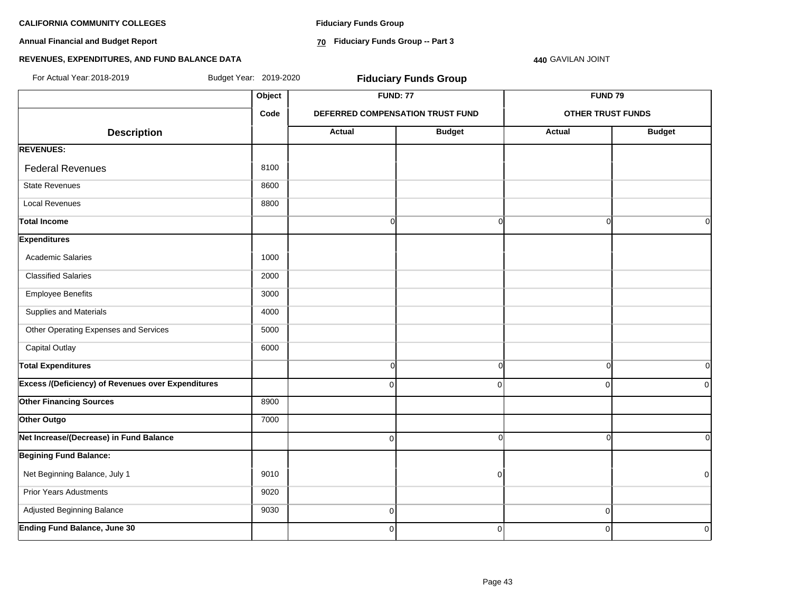**Annual Financial and Budget Report**

**Fiduciary Funds Group**

**70 Fiduciary Funds Group -- Part 3**

**440** GAVILAN JOINT

### **REVENUES, EXPENDITURES, AND FUND BALANCE DATA**

| For Actual Year: 2018-2019                                | Budget Year: 2019-2020 |                | <b>Fiduciary Funds Group</b>     |                          |                |
|-----------------------------------------------------------|------------------------|----------------|----------------------------------|--------------------------|----------------|
|                                                           | Object                 |                | <b>FUND: 77</b>                  | <b>FUND 79</b>           |                |
|                                                           | Code                   |                | DEFERRED COMPENSATION TRUST FUND | <b>OTHER TRUST FUNDS</b> |                |
| <b>Description</b>                                        |                        | Actual         | <b>Budget</b>                    | <b>Actual</b>            | <b>Budget</b>  |
| <b>REVENUES:</b>                                          |                        |                |                                  |                          |                |
| <b>Federal Revenues</b>                                   | 8100                   |                |                                  |                          |                |
| <b>State Revenues</b>                                     | 8600                   |                |                                  |                          |                |
| <b>Local Revenues</b>                                     | 8800                   |                |                                  |                          |                |
| <b>Total Income</b>                                       |                        | $\overline{0}$ | $\overline{0}$                   | $\mathbf 0$              | 0l             |
| <b>Expenditures</b>                                       |                        |                |                                  |                          |                |
| <b>Academic Salaries</b>                                  | 1000                   |                |                                  |                          |                |
| <b>Classified Salaries</b>                                | 2000                   |                |                                  |                          |                |
| <b>Employee Benefits</b>                                  | 3000                   |                |                                  |                          |                |
| Supplies and Materials                                    | 4000                   |                |                                  |                          |                |
| Other Operating Expenses and Services                     | 5000                   |                |                                  |                          |                |
| <b>Capital Outlay</b>                                     | 6000                   |                |                                  |                          |                |
| <b>Total Expenditures</b>                                 |                        | $\overline{0}$ | $\overline{0}$                   | $\mathbf 0$              | 0l             |
| <b>Excess /(Deficiency) of Revenues over Expenditures</b> |                        | $\Omega$       | $\Omega$                         | $\Omega$                 | $\Omega$       |
| <b>Other Financing Sources</b>                            | 8900                   |                |                                  |                          |                |
| Other Outgo                                               | 7000                   |                |                                  |                          |                |
| Net Increase/(Decrease) in Fund Balance                   |                        | 0              | $\Omega$                         | $\Omega$                 | ΩI             |
| <b>Begining Fund Balance:</b>                             |                        |                |                                  |                          |                |
| Net Beginning Balance, July 1                             | 9010                   |                | $\overline{0}$                   |                          | $\overline{0}$ |
| <b>Prior Years Adustments</b>                             | 9020                   |                |                                  |                          |                |
| Adjusted Beginning Balance                                | 9030                   | $\overline{0}$ |                                  | $\mathbf 0$              |                |
| <b>Ending Fund Balance, June 30</b>                       |                        | $\overline{0}$ | $\overline{0}$                   | $\mathbf 0$              | $\mathbf 0$    |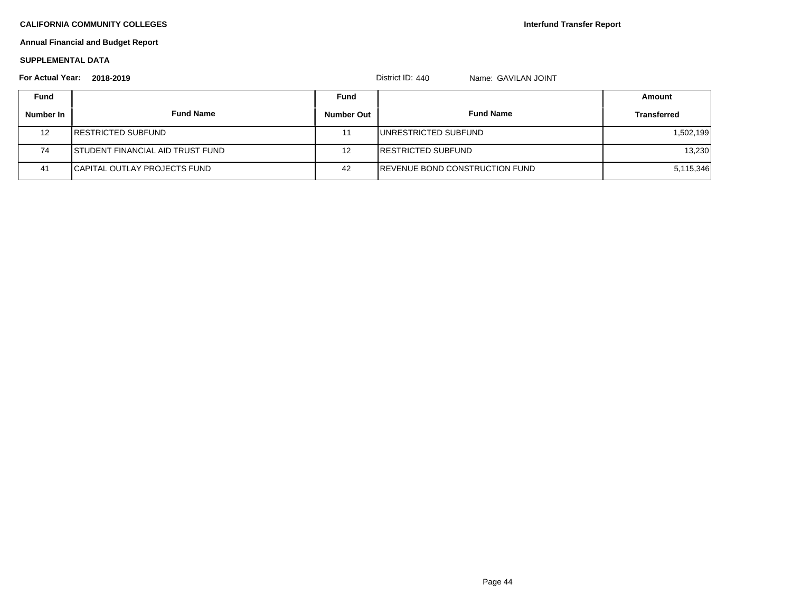**Interfund Transfer Report**

### **Annual Financial and Budget Report**

### **SUPPLEMENTAL DATA**

| <b>For Actual Year:</b> | 2018-2019                                |                   | District ID: 440<br>Name: GAVILAN JOINT |                    |
|-------------------------|------------------------------------------|-------------------|-----------------------------------------|--------------------|
| <b>Fund</b>             |                                          | Fund              |                                         | Amount             |
| Number In               | <b>Fund Name</b>                         | <b>Number Out</b> | <b>Fund Name</b>                        | <b>Transferred</b> |
| 12                      | <b>IRESTRICTED SUBFUND</b>               | 11                | <b>IUNRESTRICTED SUBFUND</b>            | 1,502,199          |
| 74                      | <b>ISTUDENT FINANCIAL AID TRUST FUND</b> | 12                | <b>IRESTRICTED SUBFUND</b>              | 13,230             |
| 41                      | <b>I</b> CAPITAL OUTLAY PROJECTS FUND    | 42                | <b>IREVENUE BOND CONSTRUCTION FUND</b>  | 5,115,346          |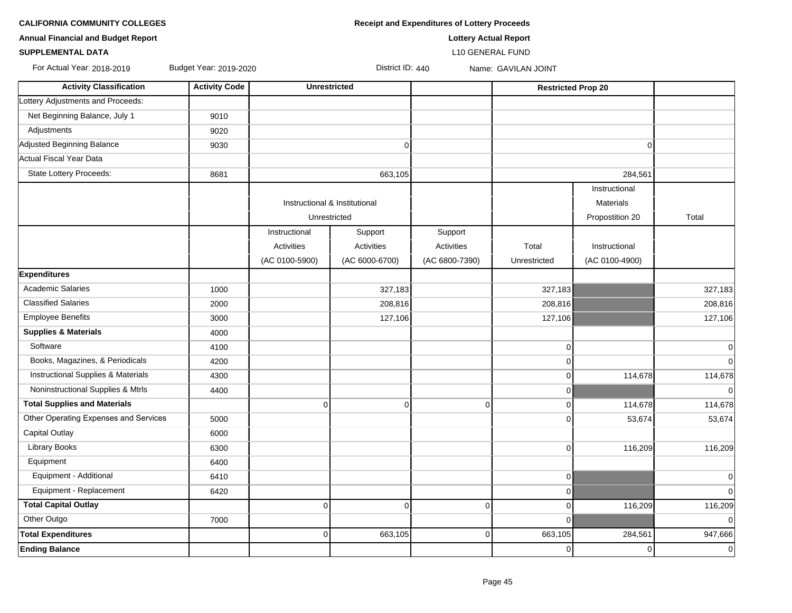|  | ORNIA COMMUNITY COLLEGES |  |  |
|--|--------------------------|--|--|
|--|--------------------------|--|--|

**CALIFORNIA COMMUNITY COLLEGES Receipt and Expenditures of Lottery Proceeds** 

**SUPPLEMENTAL DATA** L10 GENERAL FUND

| <b>Annual Financial and Budget Report</b> | <b>Lottery Actual Report</b> |
|-------------------------------------------|------------------------------|
|-------------------------------------------|------------------------------|

For Actual Year: 2018-2019 Budget Year: 2019-2020 District ID: 440 Name: GAVILAN JOINT

| <b>Activity Classification</b>        | <b>Activity Code</b> | <b>Unrestricted</b>           |                   |                | <b>Restricted Prop 20</b> |                  |             |
|---------------------------------------|----------------------|-------------------------------|-------------------|----------------|---------------------------|------------------|-------------|
| Lottery Adjustments and Proceeds:     |                      |                               |                   |                |                           |                  |             |
| Net Beginning Balance, July 1         | 9010                 |                               |                   |                |                           |                  |             |
| Adjustments                           | 9020                 |                               |                   |                |                           |                  |             |
| Adjusted Beginning Balance            | 9030                 |                               | $\overline{0}$    |                |                           | $\Omega$         |             |
| Actual Fiscal Year Data               |                      |                               |                   |                |                           |                  |             |
| State Lottery Proceeds:               | 8681                 |                               | 663,105           |                |                           | 284,561          |             |
|                                       |                      |                               |                   |                |                           | Instructional    |             |
|                                       |                      | Instructional & Institutional |                   |                |                           | <b>Materials</b> |             |
|                                       |                      | Unrestricted                  |                   |                |                           | Propostition 20  | Total       |
|                                       |                      | Instructional                 | Support           | Support        |                           |                  |             |
|                                       |                      | Activities                    | <b>Activities</b> | Activities     | Total                     | Instructional    |             |
|                                       |                      | (AC 0100-5900)                | (AC 6000-6700)    | (AC 6800-7390) | Unrestricted              | (AC 0100-4900)   |             |
| <b>Expenditures</b>                   |                      |                               |                   |                |                           |                  |             |
| <b>Academic Salaries</b>              | 1000                 |                               | 327,183           |                | 327,183                   |                  | 327,183     |
| <b>Classified Salaries</b>            | 2000                 |                               | 208,816           |                | 208,816                   |                  | 208,816     |
| <b>Employee Benefits</b>              | 3000                 |                               | 127,106           |                | 127,106                   |                  | 127,106     |
| <b>Supplies &amp; Materials</b>       | 4000                 |                               |                   |                |                           |                  |             |
| Software                              | 4100                 |                               |                   |                | $\mathbf 0$               |                  | $\mathbf 0$ |
| Books, Magazines, & Periodicals       | 4200                 |                               |                   |                | $\Omega$                  |                  | $\mathbf 0$ |
| Instructional Supplies & Materials    | 4300                 |                               |                   |                | $\mathbf 0$               | 114,678          | 114,678     |
| Noninstructional Supplies & Mtrls     | 4400                 |                               |                   |                | $\Omega$                  |                  | $\mathbf 0$ |
| <b>Total Supplies and Materials</b>   |                      | $\overline{0}$                | $\overline{0}$    | $\overline{0}$ | $\Omega$                  | 114,678          | 114,678     |
| Other Operating Expenses and Services | 5000                 |                               |                   |                | $\Omega$                  | 53,674           | 53,674      |
| <b>Capital Outlay</b>                 | 6000                 |                               |                   |                |                           |                  |             |
| <b>Library Books</b>                  | 6300                 |                               |                   |                | 0                         | 116,209          | 116,209     |
| Equipment                             | 6400                 |                               |                   |                |                           |                  |             |
| Equipment - Additional                | 6410                 |                               |                   |                | 0                         |                  | $\mathbf 0$ |
| Equipment - Replacement               | 6420                 |                               |                   |                | 0                         |                  | $\mathbf 0$ |
| <b>Total Capital Outlay</b>           |                      | $\mathbf 0$                   | $\overline{0}$    | $\mathbf 0$    | $\overline{0}$            | 116,209          | 116,209     |
| Other Outgo                           | 7000                 |                               |                   |                | 0                         |                  | $\mathbf 0$ |
| <b>Total Expenditures</b>             |                      | $\overline{0}$                | 663,105           | $\overline{0}$ | 663,105                   | 284,561          | 947,666     |
| <b>Ending Balance</b>                 |                      |                               |                   |                | $\overline{0}$            | $\overline{0}$   | $\mathbf 0$ |
|                                       |                      |                               |                   |                |                           |                  |             |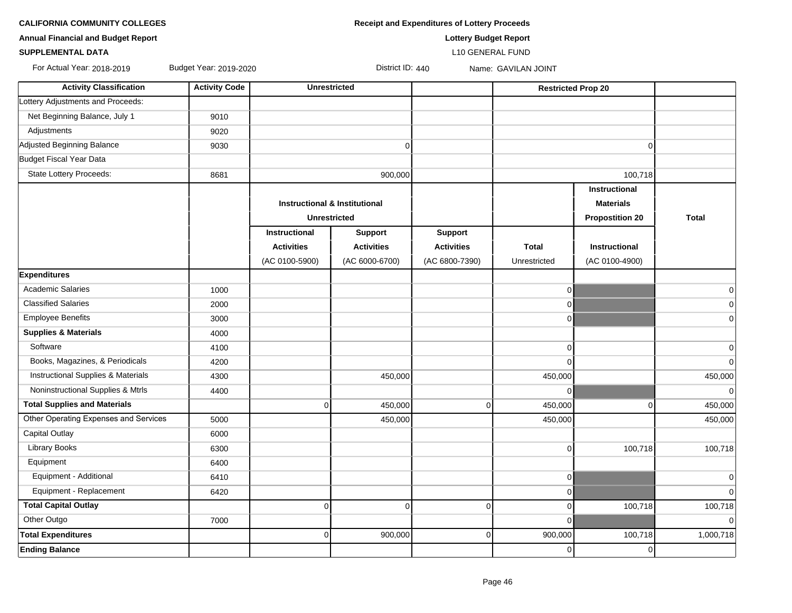**CALIFORNIA COMMUNITY COLLEGES Receipt and Expenditures of Lottery Proceeds** 

**Annual Financial and Budget Report Lottery Budget Report**

### **SUPPLEMENTAL DATA** L10 GENERAL FUND

For Actual Year: 2018-2019 Budget Year: 2019-2020 District ID: 440 Name: GAVILAN JOINT

| <b>Activity Classification</b>        | <b>Activity Code</b> | <b>Unrestricted</b>                      |                   |                   | <b>Restricted Prop 20</b> |                        |              |
|---------------------------------------|----------------------|------------------------------------------|-------------------|-------------------|---------------------------|------------------------|--------------|
| Lottery Adjustments and Proceeds:     |                      |                                          |                   |                   |                           |                        |              |
| Net Beginning Balance, July 1         | 9010                 |                                          |                   |                   |                           |                        |              |
| Adjustments                           | 9020                 |                                          |                   |                   |                           |                        |              |
| Adjusted Beginning Balance            | 9030                 |                                          | $\mathbf 0$       |                   |                           | $\overline{0}$         |              |
| Budget Fiscal Year Data               |                      |                                          |                   |                   |                           |                        |              |
| State Lottery Proceeds:               | 8681                 |                                          | 900,000           |                   |                           | 100,718                |              |
|                                       |                      |                                          |                   |                   |                           | Instructional          |              |
|                                       |                      | <b>Instructional &amp; Institutional</b> |                   |                   |                           | <b>Materials</b>       |              |
|                                       |                      | <b>Unrestricted</b>                      |                   |                   |                           | <b>Propostition 20</b> | <b>Total</b> |
|                                       |                      | Instructional                            | <b>Support</b>    | <b>Support</b>    |                           |                        |              |
|                                       |                      | <b>Activities</b>                        | <b>Activities</b> | <b>Activities</b> | <b>Total</b>              | <b>Instructional</b>   |              |
|                                       |                      | (AC 0100-5900)                           | (AC 6000-6700)    | (AC 6800-7390)    | Unrestricted              | (AC 0100-4900)         |              |
| <b>Expenditures</b>                   |                      |                                          |                   |                   |                           |                        |              |
| <b>Academic Salaries</b>              | 1000                 |                                          |                   |                   | $\overline{0}$            |                        | $\mathbf 0$  |
| <b>Classified Salaries</b>            | 2000                 |                                          |                   |                   | $\overline{0}$            |                        | $\mathbf 0$  |
| <b>Employee Benefits</b>              | 3000                 |                                          |                   |                   | $\overline{0}$            |                        | $\mathbf 0$  |
| <b>Supplies &amp; Materials</b>       | 4000                 |                                          |                   |                   |                           |                        |              |
| Software                              | 4100                 |                                          |                   |                   | $\overline{0}$            |                        | $\mathbf 0$  |
| Books, Magazines, & Periodicals       | 4200                 |                                          |                   |                   | $\Omega$                  |                        | $\pmb{0}$    |
| Instructional Supplies & Materials    | 4300                 |                                          | 450,000           |                   | 450,000                   |                        | 450,000      |
| Noninstructional Supplies & Mtrls     | 4400                 |                                          |                   |                   | $\overline{0}$            |                        | $\pmb{0}$    |
| <b>Total Supplies and Materials</b>   |                      | $\overline{0}$                           | 450,000           | $\overline{0}$    | 450,000                   | $\overline{0}$         | 450,000      |
| Other Operating Expenses and Services | 5000                 |                                          | 450,000           |                   | 450,000                   |                        | 450,000      |
| <b>Capital Outlay</b>                 | 6000                 |                                          |                   |                   |                           |                        |              |
| <b>Library Books</b>                  | 6300                 |                                          |                   |                   | $\Omega$                  | 100,718                | 100,718      |
| Equipment                             | 6400                 |                                          |                   |                   |                           |                        |              |
| Equipment - Additional                | 6410                 |                                          |                   |                   | $\overline{0}$            |                        | $\mathbf 0$  |
| Equipment - Replacement               | 6420                 |                                          |                   |                   | $\overline{0}$            |                        | $\mathbf 0$  |
| <b>Total Capital Outlay</b>           |                      | $\overline{0}$                           | $\Omega$          | $\mathbf 0$       | $\overline{0}$            | 100,718                | 100,718      |
| Other Outgo                           | 7000                 |                                          |                   |                   | $\Omega$                  |                        | $\mathbf 0$  |
| <b>Total Expenditures</b>             |                      | $\Omega$                                 | 900,000           | $\mathbf 0$       | 900,000                   | 100,718                | 1,000,718    |
| <b>Ending Balance</b>                 |                      |                                          |                   |                   | $\overline{0}$            | $\overline{0}$         |              |
|                                       |                      |                                          |                   |                   |                           |                        |              |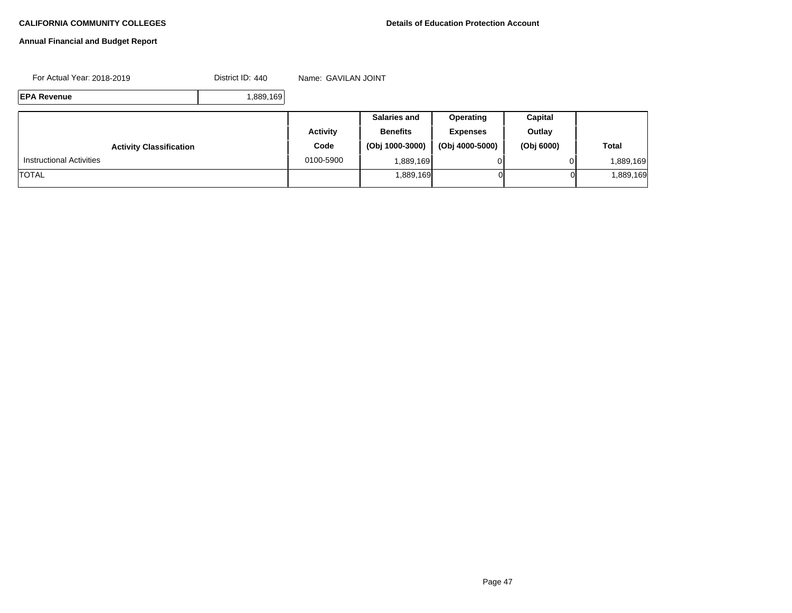### **Annual Financial and Budget Report**

For Actual Year: 2018-2019 **District ID: 440** Name: GAVILAN JOINT

**EPA Revenue** 1,889,169

|                                 |                 | <b>Salaries and</b> | <b>Operating</b> | Capital    |              |
|---------------------------------|-----------------|---------------------|------------------|------------|--------------|
|                                 | <b>Activity</b> | <b>Benefits</b>     | <b>Expenses</b>  | Outlay     |              |
| <b>Activity Classification</b>  | Code            | (Obj 1000-3000)     | (Obj 4000-5000)  | (Obj 6000) | <b>Total</b> |
| <b>Instructional Activities</b> | 0100-5900       | .889.169 <b>I</b>   |                  |            | 889,169.     |
| <b>TOTAL</b>                    |                 | 1,889,169           | ΟI               | 01         | 889,169.     |